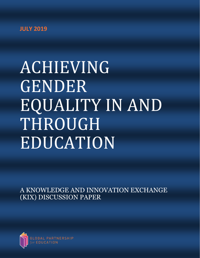# **JULY 2019**

# ACHIEVING GENDER EQUALITY IN AND THROUGH EDUCATION

A KNOWLEDGE AND INNOVATION EXCHANGE (KIX) DISCUSSION PAPER

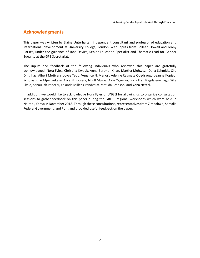# **Acknowledgments**

This paper was written by Elaine Unterhalter, independent consultant and professor of education and international development at University College, London, with inputs from Colleen Howell and Jenny Parkes, under the guidance of Jane Davies, Senior Education Specialist and Thematic Lead for Gender Equality at the GPE Secretariat.

The inputs and feedback of the following individuals who reviewed this paper are gratefully acknowledged: Nora Fyles, Christina Kwauk, Anna Bertmar Khan, Martha Muhwezi, Dana Schmidt, Clio Dintilhac, Albert Motivans, Joyce Tepu, Venance N. Manori, Adeline Rasmata Ouedraogo, Jeanne Kopieu, Scholastique Mpengekeze, Alice Nindorera, Nhull Mugas, Aida Orgocka, Lucia Fry, Magdalene Lagu, Silje Skeie, Sanaullah Panezai, Yolande Miller-Grandvaux, Matilda Branson, and Yona Nestel.

In addition, we would like to acknowledge Nora Fyles of UNGEI for allowing us to organize consultation sessions to gather feedback on this paper during the GRESP regional workshops which were held in Nairobi, Kenya in November 2018. Through these consultations, representatives from Zimbabwe, Somalia Federal Government, and Puntland provided useful feedback on the paper.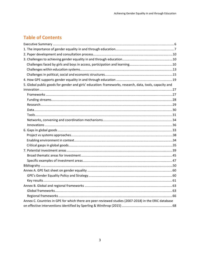# **Table of Contents**

| 5. Global public goods for gender and girls' education: frameworks, research, data, tools, capacity and |  |
|---------------------------------------------------------------------------------------------------------|--|
|                                                                                                         |  |
|                                                                                                         |  |
|                                                                                                         |  |
|                                                                                                         |  |
|                                                                                                         |  |
|                                                                                                         |  |
|                                                                                                         |  |
|                                                                                                         |  |
|                                                                                                         |  |
|                                                                                                         |  |
|                                                                                                         |  |
|                                                                                                         |  |
|                                                                                                         |  |
|                                                                                                         |  |
|                                                                                                         |  |
|                                                                                                         |  |
|                                                                                                         |  |
|                                                                                                         |  |
|                                                                                                         |  |
|                                                                                                         |  |
|                                                                                                         |  |
|                                                                                                         |  |
| Annex C. Countries in GPE for which there are peer-reviewed studies (2007-2018) in the ERIC database    |  |
|                                                                                                         |  |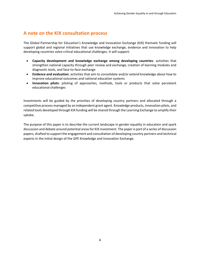## **A note on the KIX consultation process**

The Global Partnership for Education's Knowledge and Innovation Exchange (KIX) thematic funding will support global and regional initiatives that use knowledge exchange, evidence and innovation to help developing countries solve critical educational challenges. It will support:

- **Capacity development and knowledge exchange among developing countries**: activities that strengthen national capacity through peer review and exchange, creation of learning modules and diagnostic tools, and face-to-face exchange
- **Evidence and evaluation**: activities that aim to consolidate and/or extend knowledge about how to improve educational outcomes and national education systems
- **Innovation pilots**: piloting of approaches, methods, tools or products that solve persistent educational challenges

Investments will be guided by the priorities of developing country partners and allocated through a competitive process managed by an independent grant agent. Knowledge products, innovation pilots, and related tools developed through KIX funding will be shared through the Learning Exchange to amplify their uptake.

The purpose of this paper is to describe the current landscape in gender equality in education and spark discussion and debate around potential areas for KIX investment. The paper is part of a series of discussion papers, drafted to support the engagement and consultation of developing country partners and technical experts in the initial design of the GPE Knowledge and Innovation Exchange.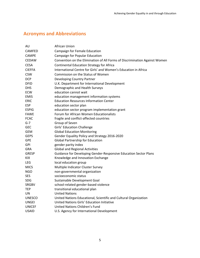# **Acronyms and Abbreviations**

| AU            | African Union                                                              |
|---------------|----------------------------------------------------------------------------|
| <b>CAMFED</b> | Campaign for Female Education                                              |
| <b>CAMPE</b>  | Campaign for Popular Education                                             |
| <b>CEDAW</b>  | Convention on the Elimination of All Forms of Discrimination Against Women |
| <b>CESA</b>   | <b>Continental Education Strategy for Africa</b>                           |
| <b>CIEFFA</b> | International Centre for Girls' and Women's Education in Africa            |
| <b>CSW</b>    | Commission on the Status of Women                                          |
| <b>DCP</b>    | Developing Country Partner                                                 |
| <b>DFID</b>   | U.K. Department for International Development                              |
| <b>DHS</b>    | Demographic and Health Surveys                                             |
| <b>ECW</b>    | education cannot wait                                                      |
| <b>EMIS</b>   | education management information systems                                   |
| <b>ERIC</b>   | <b>Education Resources Information Center</b>                              |
| <b>ESP</b>    | education sector plan                                                      |
| <b>ESPIG</b>  | education sector program implementation grant                              |
| <b>FAWE</b>   | Forum for African Women Educationalists                                    |
| <b>FCAC</b>   | fragile and conflict-affected countries                                    |
| $G-7$         | Group of Seven                                                             |
| <b>GEC</b>    | Girls' Education Challenge                                                 |
| <b>GEM</b>    | <b>Global Education Monitoring</b>                                         |
| <b>GEPS</b>   | Gender Equality Policy and Strategy 2016-2020                              |
| <b>GPE</b>    | <b>Global Partnership for Education</b>                                    |
| <b>GPI</b>    | gender parity index                                                        |
| <b>GRA</b>    | <b>Global and Regional Activities</b>                                      |
| <b>GRESP</b>  | Guidance for Developing Gender-Responsive Education Sector Plans           |
| <b>KIX</b>    | Knowledge and Innovation Exchange                                          |
| <b>LEG</b>    | local education group                                                      |
| <b>MICS</b>   | Multiple Indicator Cluster Survey                                          |
| <b>NGO</b>    | non-governmental organization                                              |
| <b>SES</b>    | socioeconomic status                                                       |
| <b>SDG</b>    | Sustainable Development Goal                                               |
| <b>SRGBV</b>  | school-related gender-based violence                                       |
| <b>TEP</b>    | transitional educational plan                                              |
| UN            | <b>United Nations</b>                                                      |
| <b>UNESCO</b> | United Nations Educational, Scientific and Cultural Organization           |
| <b>UNGEI</b>  | United Nations Girls' Education Initiative                                 |
| <b>UNICEF</b> | United Nations Children's Fund                                             |
| <b>USAID</b>  | U.S. Agency for International Development                                  |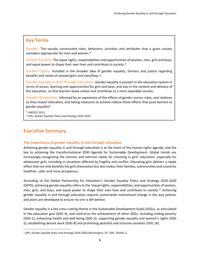## <span id="page-5-0"></span>**Key Terms**

Gender: The socially constructed roles, behaviors, activities and attributes that a given society considers appropriate for men and women.\*

Gender Equality: The equal rights, responsibilities and opportunities of women, men, girls and boys, and equal power to shape their own lives and contribute to society.†

Gender Equity**:** Included in the broader idea of gender equality, fairness and justice regarding benefits and needs of women/girls and men/boys.†

Gender Equality In And Through Education: Gender equality is present in the education system in terms of access, learning and opportunities for girls and boys, and also in the content and delivery of the education, so that learners leave school and contribute to a more equitable society.

Gender-Responsive: Informed by an awareness of the effects of gender norms, roles, and relations as they impact education, and taking measures to actively reduce those effects that pose barriers to gender equality†

\* UNESCO 2013.

 $\overline{a}$ 

† GPE, *Gender Equality Policy and Strategy 2016-2020*.

## **Executive Summary**

#### **The importance of gender equality in and through education**

Achieving gender equality in and through education is at the heart of the human rights agenda, and the key to achieving the transformational 2030 Agenda for Sustainable Development. Global trends are increasingly recognizing the intrinsic and extrinsic needs for investing in girls' education, especially for adolescent girls, including in situations affected by fragility and conflict. Educating girls delivers a ripple effect that not only benefits the girls themselves but also makes their families, communities and countries healthier, safer and more prosperous.

According to the Global Partnership for Education's Gender Equality Policy and Strategy 2016-2020 (GEPS), achieving gender equality refers to the "equal rights, responsibilities, and opportunities of women, men, girls, and boys, and equal power to shape their own lives and contribute to society." <sup>1</sup> Achieving gender equality in and through education requires systemwide institutional change in the way policies and plans are developed to ensure no one is left behind.

Gender equality is a key cross-cutting theme in the Sustainable Development Goals (SDGs), as articulated in the education goal (SDG 4), and central to the achievement of other SDGs, including ending poverty (SDG 1), enhancing health and well-being (SDG 3), supporting gender equality and women's rights (SDG 5), establishing decent work (SDG 8) and promoting peaceful and inclusive societies (SDG 16).

<sup>1</sup> GPE*, Gender Equality Policy and Strategy 2016-2020* (Washington, DC: GPE, 2016b), 5.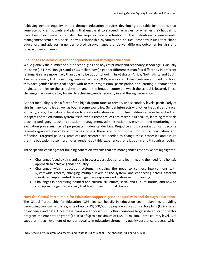Achieving gender equality in and through education requires developing equitable institutions that generate policies, budgets and plans that enable all to succeed, regardless of whether they happen to have been born male or female. This requires paying attention to the institutional arrangements, management structures, social norms, relationship dynamics and political economy issues that shape education, and addressing gender-related disadvantages that deliver different outcomes for girls and boys, women and men.

#### **Challenges to achieving gender equality in and through education**

While globally the number of out-of-school girls and boys of primary and secondary school age is virtually the same (131.7 million girls and 131.3 million boys),<sup>2</sup> gender differences manifest differently in different regions. Girls are more likely than boys to be out of school in Sub-Saharan Africa, North Africa and South Asia, where many GPE developing country partners (DCPs) are located. Even if girls are enrolled in school, they face gender-based challenges with access, progression, participation and learning outcomes that originate both inside the school system and in the broader context in which the school is located. These challenges represent a key barrier to achieving gender equality in and through education.

Gender inequality is also a facet of the high dropout rates at primary and secondary levels, particularly of girls in many countries as well as boys in some countries. Gender intersects with other inequalities of race, ethnicity, class, disability and location to create education exclusion. Inequalities can also be embedded in aspects of the education system itself, even if these are less easily seen: Curriculum, learning materials teaching pedagogy, teacher education, management, administration, assessment, and monitoring and evaluation processes may all perpetuate hidden gender bias. Prejudice and discrimination can become taken-for-granted everyday approaches unless there are opportunities for critical evaluation and reflection. Targeted policies, practices and research are needed to change these processes and assure that the education system promotes gender-equitable experiences for all, both in and through schooling.

Three specific challenges for building education systems that are more gender-responsive are highlighted:

- Challenges faced by girls and boys in access, participation and learning, and the need for a holistic approach to achieve gender equality
- Challenges within education systems, including the need to connect interventions with systemwide reform, changing multiple levels of the system, and connecting across different ministries, implemented through gender-responsive education sector planning
- Challenges in addressing political and cultural structures, social and cultural norms, and how to conceptualize gender in a way that leads to institutional change

#### **How the Global Partnership for Education supports gender equality in and through education**

The Global Partnership for Education (GPE) invests heavily in education sector planning, providing developing country partners grants of up to US\$500,000 to prepare education sector plans (ESPs) based on evidence and data. Once these plans are endorsed, GPE offers countries large-scale education sector program implementation grants (ESPIGs) of up to a maximum of US\$100 million. At the country level, GPE supports the achievement of gender equality in education through its quality assurance process, which

 $\overline{a}$ 

<sup>2</sup> UIS, "One in Five Children, Adolescents and Youth Is Out of School," Fact sheet no. 48, February 2018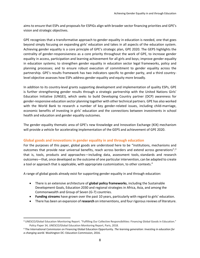aims to ensure that ESPs and proposals for ESPIGs align with broader sector financing priorities and GPE's vision and strategic objectives.

GPE recognizes that a transformative approach to gender equality in education is needed, one that goes beyond simply focusing on expanding girls' education and takes in all aspects of the education system. Achieving gender equality is a core principle of GPE's strategic plan, GPE 2020. The GEPS highlights the centrality of gender-responsiveness as a core priority throughout the work of GPE, to increase gender equality in access, participation and learning achievement for all girls and boys; improve gender equality in education systems; to strengthen gender equality in education sector legal frameworks, policy and planning processes; and to ensure robust execution of commitment to gender equality across the partnership. GPE's results framework has two indicators specific to gender parity, and a third countrylevel objective assesses how ESPs address gender equality and equity more broadly.

In addition to its country-level grants supporting development and implementation of quality ESPs, GPE is further strengthening gender results through a strategic partnership with the United Nations Girls' Education Initiative (UNGEI), which seeks to build Developing Country partner (DCP) awareness for gender-responsive education sector planning together with other technical partners. GPE has also worked with the World Bank to research a number of key gender-related issues, including child-marriage, economic benefits of investing in girls' education and the connections between investments in school health and education and gender equality outcomes.

The gender equality thematic area of GPE's new Knowledge and Innovation Exchange (KIX) mechanism will provide a vehicle for accelerating implementation of the GEPS and achievement of GPE 2020.

#### **Global goods and innovations in gender equality in and through education**

 $\overline{\phantom{a}}$ 

For the purposes of this paper, global goods are understood here to be "institutions, mechanisms and outcomes that provide near universal benefits, reach across borders and extend across generations":<sup>3</sup> that is, tools, products and approaches—including data, assessment tools, standards and research outcomes—that, once developed as the outcome of one particular intervention, can be adapted to create a tool or approach that is applicable, with appropriate customization, to other contexts.<sup>4</sup>

A range of global goods already exist for supporting gender equality in and through education:

- There is an extensive architecture of **global policy frameworks**, including the Sustainable Development Goals, Education 2030 and regional strategies in Africa, Asia, and among the Commonwealth and Group of Seven (G-7) countries.
- **Funding streams** have grown over the past 10 years, particularly with regard to girls' education.
- There has been an expansion of **research** on interventions, and four rigorous reviews of literature.

<sup>3</sup> UNESCO/Global Education Monitoring Report. "Fulfilling Our Collective Responsibilities: Financing Global Goods in Education." Policy Paper 34, UNESCO/Global Education Monitoring Report, Paris, 2018.

<sup>4</sup> The International Commission on Financing Global Education Opportunity. *The learning generation: Investing in education for a changing world.* Washington DC: Education Commission, 2016.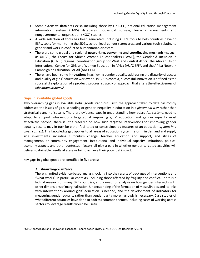- Some extensive **data** sets exist, including those by UNESCO, national education management information system (EMIS) databases, household surveys, learning assessments and nongovernmental organization (NGO) studies.
- A wide selection of **tools** has been generated, including GPE's tools to help countries develop ESPs, tools for monitoring the SDGs, school-level gender scorecards, and various tools relating to gender and work in conflict or humanitarian disasters.
- There are some global and regional **networking, convening and coordinating mechanisms,** such as UNGEI, the Forum for African Women Educationalists (FAWE), the Gender & Inclusion in Education (GENIE) regional coordination group for West and Central Africa, the African Union International Centre for Girls and Women Education in Africa (AU/CIEFFA and the Africa Network Campaign on Education For All (ANCEFA).
- There have been some **innovations**in achieving gender equality addressing the disparity of access and quality of girls' education worldwide. In GPE's context, successful innovation is defined as the successful exploitation of a product, process, strategy or approach that alters the effectiveness of *education systems. 5*

#### **Gaps in available global goods**

Two overarching gaps in available global goods stand out. First, the approach taken to date has mostly addressed the issues of girls' schooling or gender inequality in education in a *piecemeal* way rather than strategically and holistically. There are evidence gaps in understanding how *education systems* need to adapt to support interventions targeted at improving girls' education and gender equality most effectively. Second, there is little research on how such targeted interventions for improving gender equality results may in turn be either facilitated or constrained by features of an education system *in a given context*. This knowledge gap applies to all areas of education system reform: in demand and supply side investments, including curriculum change, teacher education and support, and styles of management, or community engagement. Institutional and individual capacity limitations, political economy aspects and other contextual factors all play a part in whether gender-targeted activities will deliver sustainable results at scale or fail to achieve their potential impact.

Key gaps in global goods are identified in five areas:

#### *1. Knowledge/Evidence*

 $\overline{\phantom{a}}$ 

There is limited evidence-based analysis looking into the results of packages of interventions and "what works" in particular contexts, including those affected by fragility and conflict. There is a lack of research on many GPE countries, and a need for analysis on how gender intersects with other dimensions of marginalization. Understanding of the formation of masculinities and its links with interventions around girls' education is needed, and the development of indicators for measuring gender equality rather than gender parity more narrowly is necessary. Case studies of what different countries have done to address common themes, including cases of working across sectors to leverage results would be useful.

<sup>5</sup> GPE, "Knowledge and Innovation Exchange," Board paper BOD/2017/12 DOC 09, December 2017b.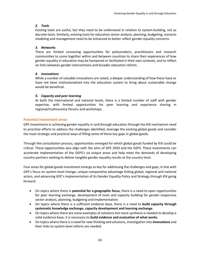## *2. Tools*

Existing tools are useful, but they need to be understood in relation to system-building, not as discrete tools. Similarly, existing tools for education sector analysis, planning, budgeting, scenario modeling and management need to be enhanced to better reflect gender equality concerns.

## *3. Networks*

There are limited convening opportunities for policymakers, practitioners and research communities to come together within and between countries to share their experiences of how gender equality in education may be hampered or facilitated in their own contexts, and to reflect on links between gender interventions and broader education reform.

## *4. Innovations*

While a number of valuable innovations are noted, a deeper understanding of how these have or have not been institutionalized into the education system to bring about sustainable change would be beneficial.

## *5. Capacity and peer learning*

At both the international and national levels, there is a limited number of staff with gender expertise, with limited opportunities for peer learning and experience sharing in regional/multicountry forums and workshops.

## <span id="page-9-0"></span>**Potential investment areas**

GPE investments in achieving gender equality in and through education through the KIX mechanism need to prioritize efforts to address the challenges identified, leverage the existing global goods and consider the most strategic and practical ways of filling some of these key gaps in global goods.

Through the consultation process, opportunities emerged for which global goods funded by KIX could be critical. These opportunities also align with the aims of GPE 2020 and the GEPS. These investments can accelerate implementation of the GEPS's six output areas and help meet the demands of developing country partners seeking to deliver tangible gender equality results at the country level.

Four areas for global goods investment emerge as key for addressing the challenges and gaps, in line with GPE's focus on system-level change, unique comparative advantage linking global, regional and national actors, and advancing GPE's implementation of its Gender Equality Policy and Strategy through KIX going forward:

- On topics where there is **potential for a geographic focus**, there is a need to open opportunities for peer learning exchange, development of tools and capacity building for gender-responsive sector analysis, planning, budgeting and implementation.
- On topics where there is a sufficient evidence base, there is a need to **build capacity through systematic knowledge exchange, capacity development and learning exchange**.
- On topics where there are some examples of solutions but more synthesis is needed to develop a solid evidence base, it is necessary to **build evidence and evaluation of what works**.
- On topics where there is a need for new thinking and solutions, investigation into **innovations** and their links to system-level reform are needed.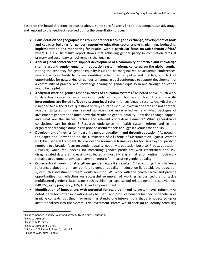Based on the broad directions proposed above, some specific areas link to this comparative advantage and respond to the feedback received during the consultation process:

- **Consideration of a geographic lens to support peer learning and exchange, development of tools and capacity building for gender-responsive education sector analysis, planning, budgeting, implementation and monitoring for results**, **with a particular focus on Sub-Saharan Africa, 6** where GPE's 2018 results report shows that achieving gender parity in completion rates at primary and secondary school remains challenging.
- **Annual global conference to support development of a community of practice and knowledge sharing around gender equality in education system reform, centered on the global south. 7** Noting the tendency for gender equality issues to be marginalized at academic conferences, where the focus tends to be on identities rather than on policy and practice, and lack of opportunities for networking on gender, an annual global conference to support development of a community of practice and knowledge sharing on gender equality in and through education would be helpful.
- **•** Analytical work on gender-responsiveness of education systems.<sup>8</sup> As noted above, much work to date has focused on what works for girls' education, but less on how different **specific interventions are linked to/lead to system-level reform** for sustainable results. Analytical work is needed to ask the critical questions on why countries should invest in one area and not another, whether targeted or mainstreamed activities are more effective, and what packages of investments generate the most powerful results on gender equality. How does change happen, and what are the success factors and relevant contextual elements? What generalizable conclusions can be drawn? Research undertaken in health system reform and in the organizational change domain can provide useful models to suggest avenues for enquiry.
- **•** Development of metrics for measuring gender equality in and through education.<sup>9</sup> As noted in the paper, the Convention on the Elimination of All Forms of Discrimination Against Women (CEDAW) General Comment 36 provides the normative framework for focusing beyond parity in numbers to a broader focus on gender equality, not only *in* education but also *through* education. However, while the indexes for measuring gender parity are well established and sexdisaggregated data are increasingly collected in most EMIS as a matter of routine, much work remains to be done to develop a common metric for measuring gender equality.
- **Cross-sectoral work to strengthen gender equality results.** <sup>10</sup> Recognizing the challenge referenced above that many barriers to gender equality in education lie outside the education system, this investment stream would build on GPE work with the health sector and provide opportunities for reflection on successful examples of working across sectors to tackle multifaceted gender-related issues such as child marriage, school-related gender-based violence (SRGBV), early pregnancy, HIV/AIDS and empowerment.
- **Identification of innovations with potential for scale-up linked to system-level reform.** <sup>11</sup> As noted in the text, often innovations may be useful and produce benefits for specific beneficiaries in niche contexts, but they may remain as stand-alone interventions that are not scaled up or institutionalized into the system. This investment stream would seek (a) to identify promising

<sup>6</sup> Links to Gender Equality Policy and Strategy (GEPS) aim 3, output 3.

<sup>7</sup> Links to GEPS aim 4.

<sup>8</sup> Links to GEPS aim 2.

<sup>9</sup> Links to GEPS aims 2 and 3.

<sup>10</sup> Links to GEPS aims 1, 2 and 3; output 4.

<sup>11</sup> Links to GEPS aims 1 and 2.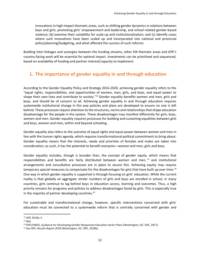<span id="page-11-0"></span>innovations in high-impact thematic areas, such as shifting gender dynamics in relations between boys and girls, promoting girls' empowerment and leadership, and school-related gender-based violence; (b) examine their suitability for scale-up and institutionalization; and (c) identify cases where such innovations have been scaled up and incorporated into national and provincial policy/planning/budgeting, and what affected the success of such reforms.

Building inter-linkages and synergies between the funding streams, other KIX thematic areas and GPE's country-facing work will be essential for optimal impact. Investments can be prioritized and sequenced, based on availability of funding and partner interest/capacity to implement.

# **1. The importance of gender equality in and through education**

According to the Gender Equality Policy and Strategy 2016-2020, achieving gender equality refers to the "equal rights, responsibilities, and opportunities of women, men, girls, and boys, and equal power to shape their own lives and contribute to society."<sup>12</sup> Gender equality benefits women and men, girls and boys, and should be of concern to all. Achieving gender equality in and through education requires systemwide institutional change in the way policies and plans are developed to ensure no one is left behind. These processes require attention to the structures, norms and relationships that shape education disadvantage for the people in the system. These disadvantages may manifest differently for girls, boys, women and men. Gender equality requires processes for building and sustaining equalities between girls and boys, women and men, within and beyond schooling.

Gender equality also refers to the *outcome* of equal rights and equal power between women and men in line with the human rights agenda, which requires transformational political commitment to bring about. Gender equality means that the interests, needs and priorities of females and males are taken into consideration; as such, it has the potential to benefit everyone—women and men, girls and boys.

Gender equality includes, though is broader than, the concept of gender *equity*, which means that responsibilities and benefits are fairly distributed between women and men, <sup>13</sup> and institutional arrangements and consultative processes are in place to secure this. Achieving equity may require temporary special measures to compensate for the disadvantages for girls that have built up over time.<sup>14</sup> One way in which gender equality is supported is through focusing on girls' education. While the current reality is that globally on aggregate similar numbers of girls and boys are enrolled in school, in many countries, girls continue to lag behind boys in education access, learning and outcomes. Thus, a high priority remains for programs and policies to address disadvantages faced by girls. This is especially true in the majority of partner developing countries. 15

For sustainable and transformational change, however, specific interventions concerned with girls' education must be connected to a systemwide reform that is centrally concerned with gender and

<sup>12</sup> GPE 2016b, 5.

 $13$  Ibid.

<sup>14</sup> GPE/UNGEI, Guidance for Developing Gender-Responsive Education Sector Plans (Washington, DC: GPE, 2017).

<sup>15</sup> See GPE, *Results Report 2018* (Washington, DC: GPE, 2018b).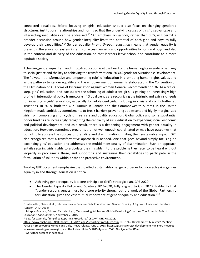connected equalities. Efforts focusing on girls' education should also focus on changing gendered structures, institutions, relationships and norms so that the underlying causes of girls' disadvantage and intersecting inequalities can be addressed.<sup>16</sup> "An emphasis on *gender*, rather than *girls*, will permit a broader discussion around how gender inequality limits the potential of both girls and boys to fully develop their capabilities." <sup>17</sup> Gender equality *in and through education* means that gender equality is present in the education system in terms of access, learning and opportunities for girls and boys, and also in the content and delivery of the education, so that learners leave school and contribute to a more equitable society.

Achieving gender equality in and through education is at the heart of the human rights agenda, a pathway to social justice and the key to achieving the transformational 2030 Agenda for Sustainable Development. The "pivotal, transformative and empowering role" of education in promoting human rights values and as the pathway to gender equality and the empowerment of women is elaborated in the Convention on the Elimination of All Forms of Discrimination against Women General Recommendation 36. As a critical step, girls' education, and particularly the schooling of adolescent girls, is gaining an increasingly high profile in international policy frameworks.<sup>18</sup> Global trends are recognizing the intrinsic and extrinsic needs for investing in girls' education, especially for adolescent girls, including in crisis and conflict-affected situations. In 2018, both the G-7 Summit in Canada and the Commonwealth Summit in the United Kingdom made ambitious commitments to break barriers preventing adolescent and highly marginalized girls from completing a full cycle of free, safe and quality education. Global policy and some substantial donor funding are increasingly recognizing the centrality of girls' education to expanding social, economic and political development, and as a result, there is a deepening engagement with gender equality in education. However, sometimes programs are not well enough coordinated or may have outcomes that do not fully address the sources of prejudice and discrimination, limiting their sustainable impact. GPE also recognizes that a transformative approach is needed, one that goes beyond simply focusing on expanding girls' education and addresses the multidimensionality of discrimination. Such an approach entails securing girls' rights to articulate their insights into the problems they face, to be heard without jeopardy in proclaiming these, and supporting and sustaining their capabilities to participate in the formulation of solutions within a safe and protective environment.

Two key GPE documents emphasize that to effect sustainable change, a broader focus on achieving gender equality in and through education is critical:

- Achieving gender equality is a core principle of GPE's strategic plan, GPE 2020.
- The Gender Equality Policy and Strategy 20162020, fully aligned to GPE 2020, highlights that "gender-responsiveness must be a core priority throughout the work of the Global Partnership for Education, given the vast mutual importance of gender equality and education."<sup>19</sup>

<sup>16</sup>Unterhalter, Elaine et al.., Interventions to Enhance Girls' Education and Gender Equality: A Rigorous Review of Literature (London: DFID, 2014).

<sup>17</sup> Murphy-Graham, Erin and Cynthia Lloyd, "Empowering Adolescent Girls in Developing Countries: The Potential Role of Education," *Sage Journals,* November 7, 2015.

<sup>&</sup>lt;sup>18</sup> See, for example, "Simplified Reporting Procedure," CEDAW, OHCHR, 2018,

<https://www.ohchr.org/EN/HRBodies/CEDAW/Pages/ReportingProcedures.aspx> ; G-7, "G7 Development Ministers' Meeting Focus on Empowering Women and Girls," news release, June 2, 2018, https://g7.gc.ca/en/g7-development-ministers-meetingfocus-empowering-women-girls; and the African Union's 2013 *Agenda 2063: The Africa We Want*. <sup>19</sup> As further detailed in section 3.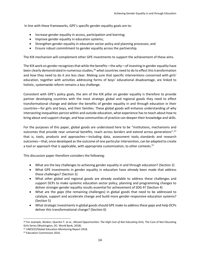In line with these frameworks, GPE's specific gender equality goals are to:

- Increase gender equality in access, participation and learning;
- Improve gender equality in education systems;
- Strengthen gender equality in education sector policy and planning processes; and
- Ensure robust commitment to gender equality across the partnership.

The KIX mechanism will complement other GPE investments to support the achievement of these aims.

The KIX work on gender recognizes that while the benefits—the *why*—of investing in gender equality have been clearly demonstrated in numerous studies, <sup>20</sup> *what* countries need to do to effect this transformation and *how* they need to do it are less clear. Making sure that specific interventions concerned with girls' education, together with activities addressing forms of boys' educational disadvantage, are linked to holistic, systemwide reform remains a key challenge.

Consistent with GPE's policy goals, the aim of the KIX pillar on gender equality is therefore to provide partner developing countries with the most strategic global and regional goods they need to effect transformational change and deliver the benefits of gender equality in and through education in their countries—for girls and boys, and their families. These global goods will enhance understanding of why intersecting inequalities persist within and outside education, what experience has to teach about how to bring about and support change, and how communities of practice can deepen their knowledge and skills.

For the purposes of this paper, global goods are understood here to be "institutions, mechanisms and outcomes that provide near universal benefits, reach across borders and extend across generations": <sup>21</sup> that is, tools, products and approaches—including data, assessment tools, standards and research outcomes—that, once developed as the outcome of one particular intervention, can be adapted to create a tool or approach that is applicable, with appropriate customization, to other contexts.<sup>22</sup>

This discussion paper therefore considers the following:

- What are the key challenges to achieving gender equality in and through education? (Section 2)
- What GPE investments in gender equality in education have *already* been made that address these challenges? (Section 3)
- What *other* global and regional goods are already available to address these challenges and support DCPs to make systemic education sector policy, planning and programming changes to deliver stronger gender equality results essential for achievement of SDG 4? (Section 4)
- What are the *gaps* (the remaining challenges) in global goods that need to be addressed to catalyze, support and accelerate change and build more gender-responsive education systems? (Section 5)
- What strategic investments in global goods should GPE make to *address these gaps* and help DCPs deliver this transformational change? (Section 6)

<sup>20</sup> For example, Wodon, Quentin T. et al., *Missed Opportunities: The High Cost of Not Educating Girls,* The Cost of Not Educating Girls Series (Washington, DC: World Bank, 2018).

<sup>21</sup> UNESCO/Global Education Monitoring Report 2018.

<sup>22</sup> Education Commission 2016.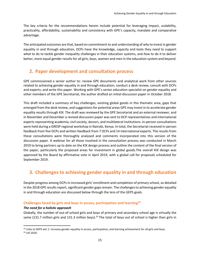The key criteria for the recommendations herein include potential for leveraging impact, scalability, practicality, affordability, sustainability and consistency with GPE's capacity, mandate and comparative advantage.

The anticipated outcomes are that, based on commitment to and understanding of *why* to invest in gender equality in and through education, DCPs have the knowledge, capacity and tools they need to support *what* to do to tackle gender inequality challenges in their education systems, and *how* to do it to deliver better, more equal gender results for all girls, boys, women and men in the education system and beyond.

## **2. Paper development and consultation process**

GPE commissioned a senior author to: review GPE documents and analytical work from other sources related to achieving gender equality in and through education; conduct a desk review, consult with DCPs and experts; and write this paper. Working with GPE's senior education specialist on gender equality and other members of the GPE Secretariat, the author drafted an initial discussion paper in October 2018.

This draft included a summary of key challenges, existing global goods in this thematic area, gaps that emerged from the desk review, and suggestions for potential areas GPE may invest in to accelerate gender equality results through KIX. The draft was reviewed by the GPE Secretariat and an external reviewer, and in November and December a revised discussion paper was sent to DCP representatives and international experts representing academia, civil society, donors, and multilateral institutions. In-person consultations were held during a GRESP regional workshop in Nairobi, Kenya. In total, the Secretariat received in-person feedback from five DCPs and written feedback from 7 DCPs and 14 international experts. The results from these consultations were thoroughly analysed and comments incorporated into this version of the discussion paper. A webinar for all those involved in the consultation process was conducted in March 2019 to bring partners up to date on the KIX design process and outline the content of the final version of the paper, particularly the proposed areas for investment in global goods.The overall KIX design was approved by the Board by affirmative vote in April 2019, with a global call for proposals scheduled for September 2019.

# **3. Challenges to achieving gender equality in and through education**

Despite progress among DCPs in increased girls' enrollment and completion of primary school, as detailed in the 2018 GPE results report, significant gender gaps remain. The challenges to achieving gender equality in and through education are discussed below through the lens of the GEPS goals.

## **Challenges faced by girls and boys in access, participation and learning<sup>23</sup>**

#### *The need for a holistic approach*

 $\overline{a}$ 

Globally, the number of out-of-school girls and boys of primary and secondary school age is virtually the same (131.7 million girls and 131.3 million boys).<sup>24</sup> The total of boys out of school is higher than girls in

<sup>&</sup>lt;sup>23</sup> Links to GEPS aim 1: increase gender equality in access, participation, and learning achievement for all girls and boys. <sup>24</sup> UIS 2018.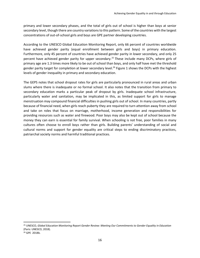primary and lower secondary phases, and the total of girls out of school is higher than boys at senior secondary level, though there are country variations to this pattern. Some of the countries with the largest concentrations of out-of-school girls and boys are GPE partner developing countries.

According to the UNESCO Global Education Monitoring Report, only 66 percent of countries worldwide have achieved gender parity (equal enrollment between girls and boys) in primary education. Furthermore, only 45 percent of countries have achieved gender parity in lower secondary, and only 25 percent have achieved gender parity for upper secondary.<sup>25</sup> These include many DCPs, where girls of primary age are 1.3 times more likely to be out of school than boys, and only half have met the threshold gender parity target for completion at lower secondary level.<sup>26</sup> Figure 1 shows the DCPs with the highest levels of gender inequality in primary and secondary education.

The GEPS notes that school dropout rates for girls are particularly pronounced in rural areas and urban slums where there is inadequate or no formal school. It also notes that the transition from primary to secondary education marks a particular peak of dropout by girls. Inadequate school infrastructure, particularly water and sanitation, may be implicated in this, as limited support for girls to manage menstruation may compound financial difficulties in pushing girls out of school. In many countries, partly because of financial need, when girls reach puberty they are required to turn attention away from school and take on roles that focus on marriage, motherhood, income generation and responsibilities for providing resources such as water and firewood. Poor boys may also be kept out of school because the money they can earn is essential for family survival. When schooling is not free, poor families in many cultures often choose to enroll boys rather than girls. Building parents' understanding of social and cultural norms and support for gender equality are critical steps to ending discriminatory practices, patriarchal society norms and harmful traditional practices.

<sup>25</sup> UNESCO, *Global Education Monitoring Report Gender Review: Meeting Our Commitments to Gender Equality in Education* (Paris: UNESCO, 2018). <sup>26</sup> GPE 2018b.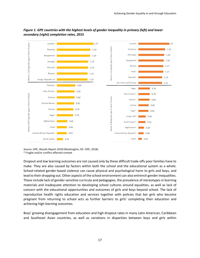

#### *Figure 1. GPE countries with the highest levels of gender inequality in primary (left) and lower secondary (right) completion rates, 2015*

*Source:* GPE, *Results Report 2018* (Washington, DC: GPE, 2018).

\* Fragile and/or conflict affected context

Dropout and low learning outcomes are not caused only by these difficult trade-offs poor families have to make. They are also caused by factors within both the school and the educational system as a whole. School-related gender-based violence can cause physical and psychological harm to girls and boys, and lead to their dropping out. Other aspects of the school environment can also entrench gender inequalities. These include lack of gender-sensitive curricula and pedagogies, the prevalence of stereotypes in learning materials and inadequate attention to developing school cultures around equalities, as well as lack of concern with the educational opportunities and outcomes of girls and boys beyond school. The lack of reproductive health rights education and services together with policies that bar girls who become pregnant from returning to school acts as further barriers to girls' completing their education and achieving high learning outcomes.

Boys' growing disengagement from education and high dropout rates in many Latin American, Caribbean and Southeast Asian countries, as well as variations in disparities between boys and girls within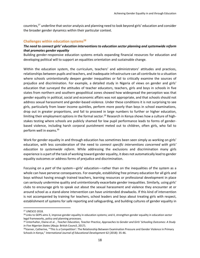countries,<sup>27</sup> underline that sector analysis and planning need to look beyond girls' education and consider the broader gender dynamics within their particular context.

#### **Challenges within education systems<sup>28</sup>**

#### *The need to connect girls' education interventions to education sector planning and systemwide reform that promotes gender equality*

Building gender-responsive education systems entails expanding financial resources for education and developing political will to support an equalities orientation and sustainable change.

Within the education system, the curriculum, teachers' and administrators' attitudes and practices, relationships between pupils and teachers, and inadequate infrastructure can all contribute to a situation where schools unintentionally deepen gender inequalities or fail to critically examine the sources of prejudice and discrimination. For example, a detailed study in Nigeria of views on gender and girls' education that surveyed the attitudes of teacher educators, teachers, girls and boys in schools in five states from northern and southern geopolitical zones showed how widespread the perception was that gender equality in political, social and economic affairs was not appropriate, and that schools should not address sexual harassment and gender-based violence. Under these conditions it is not surprising to see girls, particularly from lower income quintiles, perform more poorly than boys in school examinations, drop out in greater proportions, and fail to proceed in large numbers to further or higher education, limiting their employment options in the formal sector.<sup>29</sup> Research in Kenya shows how a culture of highstakes testing where schools are publicly shamed for low pupil performance leads to forms of genderbased violence, including harsh corporal punishment meted out to children, often girls, who fail to perform well in exams.<sup>30</sup>

Work for gender equality in and through education has sometimes been seen simply as working on girls' education, with less consideration of the need to *connect specific interventions concerned with girls' education to systemwide reform*. While addressing the exclusions and discrimination many girls experience is a part of the task of working toward gender equality, it does not automatically lead to gender equality outcomes or address forms of prejudice and discrimination.

Focusing on a *part* of the system—girls' education—rather than on the inequalities of the system as a whole can have perverse consequences. For example, establishing free primary education for all girls and boys without having enough trained teachers, learning resources or professional development in place can seriously undermine quality and unintentionally exacerbate gender inequalities. Similarly, using girls' clubs to encourage girls to speak out about the sexual harassment and violence they encounter at or around school as a stand-alone intervention can have unintended drawbacks. If this kind of intervention is not accompanied by training for teachers, school leaders and boys about treating girls with respect, establishment of systems for safe reporting and safeguarding, and building cultures of gender equality in

<sup>27</sup> UNESCO 2018*.*

<sup>&</sup>lt;sup>28</sup> Links to GEPS aims 3, improve gender equality in education systems; and 4, strengthen gender equality in education sector legal frameworks, policy and planning processes*.* 

<sup>29</sup> Unterhalter, Elaine et al. , *Teacher Education, Teacher Practice, Approaches to Gender and Girls' Schooling Outcomes: A Study in Five Nigerian States* (Abuja: British Council, 2017).

<sup>30</sup>Vanner, Catherine, "'This Is a Competition': The Relationship Between Examination Pressure and Gender Violence in Primary Schools in Kenya," *International Journal of Educational Development* 62 (2018): 35-46.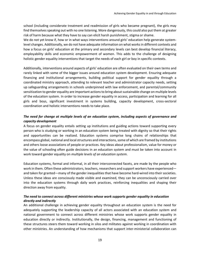school (including considerate treatment and readmission of girls who became pregnant), the girls may find themselves speaking out with no one listening. More dangerously, this could also put them at greater risk of harm because what they have to say can elicit harsh punishment, stigma or shame.

We do not yet know if, how or in what ways interventions around girls' education help generate systemlevel changes. Additionally, we do not have adequate information on what works in different contexts and how a focus on girls' education at the primary and secondary levels can best develop financial literacy, employability skills and economic empowerment of women. This adds to the challenge of designing holistic gender equality interventions that target the needs of each girl or boy in specific contexts.

Additionally, interventions around aspects of girls' education are often evaluated on their own terms and rarely linked with some of the bigger issues around education system development. Ensuring adequate financing and institutional arrangements, building political support for gender equality through a coordinated ministry approach, attending to relevant teacher and administrator capacity needs, setting up safeguarding arrangements in schools underpinned with law enforcement, and parental/community sensitization to gender equality are important actions to bring about sustainable change on multiple levels of the education system. In order to increase gender equality in access, participation and learning for all girls and boys, significant investment in systems building, capacity development, cross-sectoral coordination and holistic interventions needs to take place.

## *The need for change at multiple levels of an education system, including aspects of governance and capacity development*

A focus on gender equality entails setting up institutions and guiding actions toward supporting every person who is studying or working in an education system being treated with dignity so that their rights and opportunities can be realized. Education systems comprise long chains of relationships that encompass global, national and local structures and interactions, some of which are framed by institutions and others loose associations of people or practices. Key ideas about professionalism, value for money or the value of schooling often guide decisions in an education system and must be taken into account in work toward gender equality on *multiple levels of an education system*.

Education systems, formal and informal, in all their interconnected facets, are made by the people who work in them. Often these administrators, teachers, researchers and support workers have experienced and taken for granted—many of the gender inequalities that have become hard-wired into their societies. Unless these ideas are consciously made visible and examined, they can be unconsciously carried over into the education systems through daily work practices, reinforcing inequalities and shaping their direction away from equality.

## *The need to connect across different ministries whose work supports gender equality in education directly and indirectly*

An additional challenge in achieving gender equality throughout an education system is the need for adequately supporting the leadership capacity of all actors associated with an education system and national government to connect across different ministries whose work supports gender equality in education directly or indirectly. Institutionally, the design, financing, management and functioning of these structures steers them toward working in silos and militates against working in coordination with other ministries. An understanding of how mechanisms that support inter-ministerial collaboration can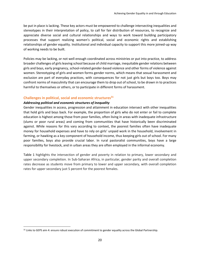be put in place is lacking. These key actors must be empowered to challenge intersecting inequalities and stereotypes in their interpretation of policy, to call for fair distribution of resources, to recognize and appreciate diverse social and cultural relationships and ways to work toward building participatory processes that support realizing women's political, social and economic rights and establishing relationships of gender equality. Institutional and individual capacity to support this more joined-up way of working needs to be built.

Policies may be lacking, or not well enough coordinated across ministries or put into practice, to address broader challenges of girls leaving school because of child marriage, inequitable gender relations between girls and boys, early pregnancy, school-related gender-based violence and other forms of violence against women. Stereotyping of girls and women forms gender norms, which means that sexual harassment and exclusion are part of everyday practices, with consequences for not just girls but boys too. Boys may confront norms of masculinity that can encourage them to drop out of school, to be drawn in to practices harmful to themselves or others, or to participate in different forms of harassment.

#### **Challenges in political, social and economic structures<sup>31</sup>**

#### *Addressing political and economic structures of inequality*

 $\overline{a}$ 

Gender inequalities in access, progression and attainment in education intersect with other inequalities that hold girls and boys back. For example, the proportion of girls who do not enter or fail to complete education is highest among those from poor families, often living in areas with inadequate infrastructure (slums or poor rural areas) and coming from communities that have historically been discriminated against. While reasons for this vary according to context, the poorest families often have inadequate money for household expenses and have to rely on girls' unpaid work in the household, involvement in farming, or hawking as a key component of household income, thus keeping girls out of school. For many poor families, boys also provide crucial labor. In rural pastoralist communities, boys have a large responsibility for livestock, and in urban areas they are often employed in the informal economy.

Table 1 highlights the intersection of gender and poverty in relation to primary, lower secondary and upper secondary completion. In Sub-Saharan Africa, in particular, gender parity and overall completion rates decrease as students move from primary to lower and upper secondary, with overall completion rates for upper secondary just 5 percent for the poorest females.

<sup>31</sup> Links to GEPS aim 4: ensure robust execution of commitment to gender equality across the Global Partnership.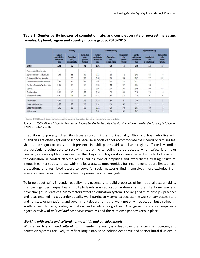|                                  | <b>Primary</b>                                |                                             |                                                  |                                               | Lower secondary                             |                                                         |                                               | <b>Upper secondary</b>                      |                                                         |  |
|----------------------------------|-----------------------------------------------|---------------------------------------------|--------------------------------------------------|-----------------------------------------------|---------------------------------------------|---------------------------------------------------------|-----------------------------------------------|---------------------------------------------|---------------------------------------------------------|--|
|                                  | Gender<br>parity index.<br>completion<br>rate | <b>Completion</b><br>rate.<br>poorest males | <b>Completion</b><br>rate.<br>poorest<br>females | Gender<br>parttu index.<br>completion<br>rate | <b>Completion</b><br>rate.<br>poorest males | <b>Completion</b><br>rate.<br>poorest<br><b>females</b> | Gender<br>parity index.<br>completion<br>rate | <b>Completion</b><br>rate.<br>poorest males | <b>Completion</b><br>rate.<br>poorest<br><b>females</b> |  |
| World                            | 1.01                                          | 72                                          | 71                                               | 1.01                                          | 54                                          | 54                                                      | 0.99                                          | 32                                          | 33                                                      |  |
| Caucasus and Central Asia        | $\sim$                                        | $\cdots$                                    | min.                                             | $\sim$                                        | i since                                     | $\frac{1}{2}$                                           | $\sim$                                        | $\cdots$                                    | m.                                                      |  |
| Eastern and South-eastern Asia   | 1.02                                          | 88                                          | 92                                               | 114                                           | 65                                          | 72                                                      | 1.05                                          | 45                                          | 48                                                      |  |
| Europe and Northern America      | $\sim$                                        | 99                                          | 98                                               | 1.00                                          | 95                                          | 96                                                      | 1.05                                          | 77                                          | 81                                                      |  |
| Latin America and the Caribbean  | 1.04                                          | 80                                          | 86                                               | 1.07                                          | 56                                          | 63                                                      | 1.13                                          | 31                                          | 34                                                      |  |
| Northern Africa and Western Asia | 0.97                                          | 69                                          | 63                                               | 1.03                                          | 44                                          | 42                                                      | 1.02                                          | 18                                          | 16                                                      |  |
| Pacific                          | $+ +$                                         | $\sim$                                      | $\cdots$                                         | 1.01                                          | 97                                          | 96                                                      | 1.09                                          | 80                                          | 69                                                      |  |
| Southern Asia                    | 0.99                                          | 75                                          | 71                                               | 0.94                                          | 60                                          | 53                                                      | 0.90                                          | 23                                          | 16                                                      |  |
| Sub-Saharan Africa               | 0.99                                          | 34                                          | 31                                               | 0.86                                          | 17                                          | 13                                                      | 0.78                                          | $\overline{8}$                              | 5                                                       |  |
| Low income                       | 0.97                                          | 31                                          | 28                                               | 0.79                                          | 12                                          | $\overline{\mathbf{g}}$                                 | 0.66                                          | $\overline{3}$                              |                                                         |  |
| Lower middle income              | 1.00                                          | 70                                          | 68                                               | 0.97                                          | 53                                          | 47                                                      | 0.93                                          | 21                                          | 15                                                      |  |
| Upper middle income              | 1.02                                          | 89                                          | 93                                               | 111                                           | 69                                          | 78                                                      | 1.07                                          | 49                                          | 52                                                      |  |
| High income                      | m.                                            | $\sim$                                      | w                                                | 101                                           | 89                                          | 92                                                      | 107                                           | 73                                          | 79                                                      |  |

## **Table 1. Gender parity indexes of completion rate, and completion rate of poorest males and females, by level, region and country income group, 2010-2015**

Source: GEM Report team calculations for completion rates based on household survey data.

*Source:* UNESCO, *Global Education Monitoring Report Gender Review: Meeting Our Commitments to Gender Equality in Education* (Paris: UNESCO, 2018).

In addition to poverty, disability status also contributes to inequality. Girls and boys who live with disabilities are often kept out of school because schools cannot accommodate their needs or families feel shame, and stigma attaches to their presence in public places. Girls who live in regions affected by conflict are particularly vulnerable to receiving little or no schooling, partly because when safety is a major concern, girls are kept home more often than boys. Both boys and girls are affected by the lack of provision for education in conflict-affected areas, but as conflict amplifies and exacerbates existing structural inequalities in a society, those with the least assets, opportunities for income generation, limited legal protections and restricted access to powerful social networks find themselves most excluded from education resources. These are often the poorest women and girls.

To bring about gains in gender equality, it is necessary to build processes of institutional accountability that track gender inequalities at multiple levels in an education system in a more intentional way and drive changes in practices. Many factors affect an education system. The range of relationships, practices and ideas entailed makes gender equality work particularly complex because the work encompasses state and nonstate organizations, and government departments that work not only in education but also health, youth affairs, housing, water, sanitation, and roads among others. Change in these areas requires a rigorous review of *political and economic structures* and the relationships they keep in place.

#### *Working with social and cultural norms within and outside schools*

With regard to *social and cultural norms,* gender inequality is a deep structural issue in all societies, and education systems are likely to reflect long-established politico-economic and sociocultural divisions in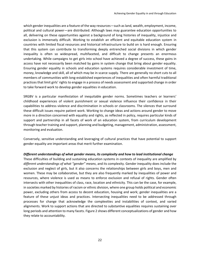which gender inequalities are a feature of the way resources—such as land, wealth, employment, income, political and cultural power—are distributed. Although laws may guarantee education opportunities to all, delivering on these opportunities against a background of long histories of inequality, injustice and exclusion is immensely difficult. Working to establish an efficient and equitable education system in countries with limited fiscal resources and historical infrastructure to build on is hard enough. Ensuring that this system can contribute to transforming deeply entrenched social divisions in which gender inequality is often so widespread, multifaceted, and difficult to change presents an enormous undertaking. While campaigns to get girls into school have achieved a degree of success, these gains in access have not necessarily been matched by gains in system change that bring about gender equality. Ensuring gender equality in schools and education systems requires considerable investment of time, money, knowledge and skill, all of which may be in scarce supply. There are generally no short cuts to all members of communities with long-established experiences of inequalities and often harmful traditional practices that limit girls' rights to engage in a process of needs assessment and supported change in order to take forward work to develop gender equalities in education.

SRGBV is a particular manifestation of inequitable gender norms. Sometimes teachers or learners' childhood experiences of violent punishment or sexual violence influence their confidence in their capabilities to address violence and discrimination in schools or classrooms. The silences that surround these difficult issues require patient work. Working to change ideas and actions around gender to move more in a direction concerned with equality and rights, as reflected in policy, requires particular kinds of support and partnership in all facets of work of an education system, from curriculum development through teacher training and support, planning and budgeting, management, administration, assessment, monitoring and evaluation.

Conversely, sensitive understanding and leveraging of cultural practices that have potential to support gender equality are important areas that merit further examination.

#### *Different understandings of what gender means, its complexity and how to lead institutional change*

These difficulties of building and sustaining education systems in contexts of inequality are amplified by *different understandings of what "gender" means*, and its complexity. Gender inequality does include the exclusion and neglect of girls, but it also concerns the relationships between girls and boys, men and women. These may be collaborative, but they are also frequently marked by inequalities of power and resources, where violence is used as means to enforce exclusion and refusal of rights. Gender often intersects with other inequalities of class, race, location and ethnicity. This can be the case, for example, in societies marked by histories of racism or ethnic division, where one group holds political and economic power, excluding others from access to decent education, housing and work; gender inequalities are a feature of these unjust ideas and practices. Intersecting inequalities need to be addressed through processes for change that acknowledge the complexities and instabilities of context, and varied alignments. Work to support actions that are directed to substantive equalities requires sustaining over long periods and attention to many facets. Figure 2 shows different conceptualizations of gender and how they relate to accountability.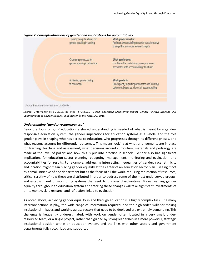

#### *Figure 2. Conceptualizations of gender and implications for accountability*

*Source:* Unterhalter et al. 2018, as cited in UNESCO, *Global Education Monitoring Report Gender Review: Meeting Our Commitments to Gender Equality in Education* (Paris: UNESCO, 2018).

#### *Understanding "gender-responsiveness"*

Beyond a focus on girls' education, a shared understanding is needed of what is meant by a genderresponsive education system, the gender implications for education systems as a whole, and the role gender plays in shaping who has access to education, who progresses through its different phases, and what reasons account for differential outcomes. This means looking at what arrangements are in place for learning, teaching and assessment; what decisions around curriculum, materials and pedagogy are made at the level of policy; and how this is put into practice in schools. Gender also has significant implications for education sector planning, budgeting, management, monitoring and evaluation, and accountabilities for results. For example, addressing intersecting inequalities of gender, race, ethnicity and location might mean placing gender equality at the center of an education sector plan—seeing it not as a small initiative of one department but as the focus of all the work, requiring redirection of resources, critical scrutiny of how these are distributed in order to address some of the most underserved groups, and establishment of monitoring systems that seek to uncover disadvantage. Mainstreaming gender equality throughout an education system and tracking these changes will take significant investments of time, money, skill, research and reflection linked to evaluation.

As noted above, achieving gender equality in and through education is a highly complex task. The many interconnections in play, the wide range of information required, and the high-order skills for making institutional linkages and working across sectors that need to be deployed are extremely demanding. This challenge is frequently underestimated, with work on gender often located in a very small, underresourced team, or a single project, rather than guided by strong leadership in a more powerful, strategic institutional position within an education system, and the links with other sectors and government departments fully recognized and supported.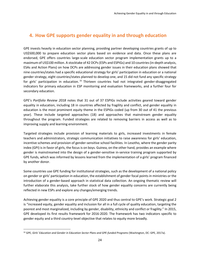# <span id="page-23-0"></span>**4. How GPE supports gender equality in and through education**

GPE invests heavily in education sector planning, providing partner developing countries grants of up to US\$500,000 to prepare education sector plans based on evidence and data. Once these plans are endorsed, GPE offers countries large-scale education sector program implementation grants up to a maximum of US\$100 million. A stocktake of 42 DCPs (ESPs and ESPIGs) and 10 countries (in-depth analysis, ESAs and Action Plans) on how DCPs are addressing gender issues in their education plans showed that nine countries/states had a specific educational strategy for girls' participation in education or a national gender strategy, eight countries/states planned to develop one, and 15 did not fund any specific strategy for girls' participation in education.<sup>32</sup> Thirteen countries had not integrated gender-disaggregated indicators for primary education in ESP monitoring and evaluation frameworks, and a further four for secondary education.

GPE's *Portfolio Review 2018* notes that 31 out of 37 ESPIGs include activities geared toward gender equality in education, including 18 in countries affected by fragility and conflict, and gender equality in education is the most prominent equity theme in the ESPIGs coded (up from 30 out of 41 the previous year). These include targeted approaches (18) and approaches that mainstream gender equality throughout the program. Funded strategies are related to removing barriers in access as well as to improving supply and learning environment.

Targeted strategies include provision of learning materials to girls, increased investments in female teachers and administrators, strategic communication initiatives to raise awareness for girls' education, incentive schemes and provision of gender-sensitive school facilities. In Lesotho, where the gender parity index (GPI) is in favor of girls, the focus is on boys. Guinea, on the other hand, provides an example where gender is mainstreamed into the design of a gender-sensitive in-service training program supported by GPE funds, which was informed by lessons learned from the implementation of a girls' program financed by another donor.

Some countries use GPE funding for institutional strategies, such as the development of a national policy on gender or girls' participation in education, the establishment of gender focal points in ministries or the introduction of a gender-based approach in statistical data collection. An ongoing thematic review will further elaborate this analysis, take further stock of how gender equality concerns are currently being reflected in new ESPs and explore any changes/emerging trends.

Achieving gender equality is a core principle of GPE 2020 and thus central to GPE's work. Strategic goal 2 is "increased equity, gender equality and inclusion for all in a full cycle of quality education, targeting the poorest and most marginalized, including by gender, disability, ethnicity and conflict or fragility." In 2015, GPE developed its first results framework for 2016-2020. The framework has two indicators specific to gender equity and a third country-level objective that relates to equity more broadly.

 $\overline{a}$ 

<sup>&</sup>lt;sup>32</sup> GPE, Girls' Education and Gender in Education Sector Plans and GPE-funded Programs (Washington, DC: GPE, 2017a).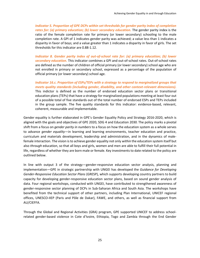*Indicator 5. Proportion of GPE DCPs within set thresholds for gender parity index of completion*  rates for: (a) primary education; (b) lower secondary education. The gender parity index is the ratio of the female completion rate for primary (or lower secondary) schooling to the male completion rate. A GPI of 1 indicates gender parity was achieved; a value less than 1 indicates a disparity in favor of boys; and a value greater than 1 indicates a disparity in favor of girls. The set thresholds for this indicator are 0.88-1.12.

*Indicator 8. Gender parity index of out-of-school rate for: (a) primary education; (b) lower secondary education.* This indicator combines a GPI and out-of-school rates. Out-of-school rates are defined as the number of children of official primary (or lower secondary) school age who are not enrolled in primary or secondary school, expressed as a percentage of the population of official primary (or lower secondary) school age.

*Indicator 16.c. Proportion of ESPs/TEPs with a strategy to respond to marginalized groups that meets quality standards (including gender, disability, and other context-relevant dimensions).* This indictor is defined as the number of endorsed education sector plans or transitional education plans (TEPs) that have a strategy for marginalized populations meeting at least four out of a possible total of five standards out of the total number of endorsed ESPs and TEPs included in the group sample. The five quality standards for this indicator: evidence-based, relevant, coherent, measurable and implementable.

Gender equality is further elaborated in GPE's Gender Equality Policy and Strategy 2016-2020, which is aligned with the goals and objectives of GPE 2020, SDG 4 and Education 2030. The policy marks a pivotal shift from a focus on *gender parity in numbers* to a focus on how the education system as a whole serves to advance *gender equality—*in learning and learning environments, teacher education and practice, curriculum and materials development, leadership and administration, and in the dynamics of malefemale interaction. The vision is to achieve gender equality not only *within* the education system itself but also *through* education, so that all boys and girls, women and men are able to fulfill their full potential in life, regardless of whether they are born male or female. Key investments to date related to the policy are outlined below.

In line with output 3 of the strategy—gender-responsive education sector analysis, planning and implementation—GPE in strategic partnership with UNGEI has developed the *Guidance for Developing Gender-Responsive Education Sector Plans* (GRESP), which supports developing country partners to build capacity for developing gender-responsive education sector plans, based on sound gender analysis of data. Four regional workshops, conducted with UNGEI, have contributed to strengthened awareness of gender-responsive sector planning of DCPs in Sub-Saharan Africa and South Asia. The workshops have benefited from the technical support of other partners, including Plan International, UNICEF regional offices, UNESCO-IIEP (Paris and Pôle de Dakar), FAWE, and others, as well as financial support from AU/CIEFFA.

Through the Global and Regional Activities (GRA) program, GPE supported UNICEF to address schoolrelated gender-based violence in Cote d'Ivoire, Ethiopia, Togo and Zambia through the End Gender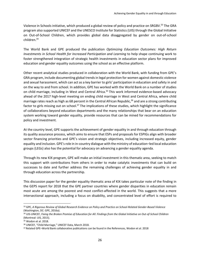Violence in Schools initiative, which produced a global review of policy and practice on SRGBV.<sup>33</sup> The GRA program also supported UNICEF and the UNESCO Institute for Statistics (UIS) through the Global Initiative on Out-of-School Children, which provides global data disaggregated by gender on out-of-school children.<sup>34</sup>

The World Bank and GPE produced the publication *Optimizing Education Outcomes: High Return Investments in School Health for Increased Participation and Learning* to help shape continuing work to foster strengthened integration of strategic health investments in education sector plans for improved education and gender equality outcomes using the school as an effective platform.

Other recent analytical studies produced in collaboration with the World Bank, with funding from GPE's GRA program, include documenting global trends in legal protection for women against domestic violence and sexual harassment, which can act as a key barrier to girls' participation in education and safety in and on the way to and from school. In addition, GPE has worked with the World Bank on a number of studies on child marriage, including in West and Central Africa.<sup>35</sup> This work informed evidence-based advocacy ahead of the 2017 high-level meeting on ending child marriage in West and Central Africa, where child marriage rates reach as high as 68 percent in the Central African Republic, <sup>36</sup> and are a strong contributing factor to girls missing out on school.<sup>37</sup> The implications of these studies, which highlight the significance of collaborations beyond education departments and the many relationships that bear on an education system working toward gender equality, provide resources that can be mined for recommendations for policy and investment.

At the country level, GPE supports the achievement of gender equality in and through education through its quality assurance process, which aims to ensure that ESPs and proposals for ESPIGs align with broader sector financing priorities and GPE's vision and strategic objectives, including increased equity, gender equality and inclusion. GPE's role in in-country dialogue with the ministry of education–led local education groups (LEGs) also has the potential for advocacy on advancing a gender equality agenda.

Through its new KIX program, GPE will make an initial investment in this thematic area, seeking to match this support with contributions from others in order to make catalytic investments that can build on successes to date and further address the remaining challenges of achieving gender equality in and through education across the partnership.

This discussion paper for the gender equality thematic area of KIX takes particular note of the finding in the GEPS report for 2018 that the GPE partner countries where gender disparities in education remain most acute are among the poorest and most conflict-affected in the world. This suggests that a more intersectional approach, including a focus on disability, and concentrated level of effort is required to

<sup>33</sup> GPE, *A Rigorous Review of Global Research Evidence on Policy and Practice on School-Related Gender-Based Violence*  (Washington, DC: GPE, 2016a).

<sup>34</sup> UIS-UNICEF, *Fixing the Broken Promise of Education for All: Findings from the Global Initiative on Out-of-School Children* (Montreal: UIS, 2015).

<sup>35</sup> Wodon et al. 2018.

<sup>36</sup> UNICEF, "Child Marriage," UNICEF Data, March 2018.

<sup>37</sup> Related GPE–World Bank collaborative publications can be found in the References, Wodon et al. 2018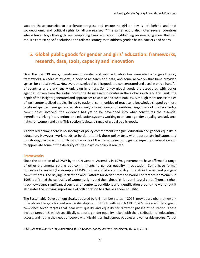support these countries to accelerate progress and ensure no girl or boy is left behind and that socioeconomic and political rights for all are realized.<sup>38</sup> The same report also notes several countries where fewer boys than girls are completing basic education, highlighting an emerging issue that will require context-specific solutions and tailored strategies to address gender-based barriers and needs.

# <span id="page-26-0"></span>**5. Global public goods for gender and girls' education: frameworks, research, data, tools, capacity and innovation**

Over the past 30 years, investment in gender and girls' education has generated a range of policy frameworks, a cadre of experts, a body of research and data, and some networks that have provided spaces for critical review. However, these global public goods are concentrated and used in only a handful of countries and are virtually unknown in others. Some key global goods are associated with donor agendas, driven from the global north or elite research institutes in the global south, and this limits the depth of the insights generated and approaches to uptake and sustainability. Although there are examples of well-contextualized studies linked to national communities of practice, a knowledge shaped by these relationships has been generated about only a select range of countries. Regardless of the knowledge communities involved, the evidence has yet to be developed into what constitutes the essential ingredients linking interventions and education systems working to enhance gender equality, and advance rights for women and girls. This section reviews a range of global public goods.

As detailed below, there is no shortage of policy commitments for girls' education and gender equality in education. However, work needs to be done to link these policy texts with appropriate indicators and monitoring mechanisms to fully capture some of the many meanings of gender equality in education and to appreciate some of the diversity of sites in which policy is realized.

#### <span id="page-26-1"></span>**Frameworks**

 $\overline{\phantom{a}}$ 

Since the adoption of CEDAW by the UN General Assembly in 1979, governments have affirmed a range of other statements setting out commitments to gender equality in education. Some have formal processes for review (for example, CEDAW); others build accountability through indicators and pledging commitments. The Beijing Declaration and Platform for Action from the World Conference on Women in 1995 reaffirmed the centrality of women's rights and the rights of girls as an integral part of human rights. It acknowledges significant diversities of contexts, conditions and identification around the world, but it also notes the unifying importance of collaboration to achieve gender equality.

The Sustainable Development Goals, adopted by UN member states in 2015, provide a global framework of goals and targets for sustainable development. SDG 4, with which GPE 2020's vision is fully aligned, comprises seven targets that deal with quality and equality for different phases of education. These include target 4.5, which specifically supports gender equality linked with the distribution of educational access, and noting the needs of people with disabilities, indigenous peoples and vulnerable groups. Target

<sup>38</sup> GPE, *Annual Report on Implementation of GPE Gender Equality Strategy* (Washington, DC: GPE, 2018a).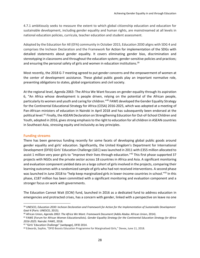4.7.1 ambitiously seeks to measure the extent to which global citizenship education and education for sustainable development, including gender equality and human rights, are mainstreamed at all levels in national education policies, curricula, teacher education and student assessment.

Adopted by the Education for All (EFA) community in October 2015, Education 2030 aligns with SDG 4 and comprises the Incheon Declaration and the Framework for Action for implementation of the SDGs with detailed statements about gender equality. It covers eliminating gender bias, discrimination and stereotyping in classrooms and throughout the education system; gender-sensitive policies and practices; and ensuring the personal safety of girls and women in education institutions.<sup>39</sup>

Most recently, the 2018 G-7 meeting agreed to put gender concerns and the empowerment of women at the center of development assistance. These global public goods play an important normative role, presenting obligations to states, global organizations and civil society.

At the regional level, Agenda 2063: The Africa We Want focuses on gender equality through its aspiration 6, "An Africa whose development is people driven, relying on the potential of the African people, particularly its women and youth and caring for children." <sup>40</sup> FAWE developed the Gender Equality Strategy for the Continental Educational Strategy for Africa (CESA) 2016-2025, which was adopted at a meeting of Pan-African ministers of education in Nairobi in April 2018 and has subsequently been endorsed at the political level.<sup>41</sup> Finally, the ASEAN Declaration on Strengthening Education for Out-of-School Children and Youth, adopted in 2016, gives strong emphasis to the right to education for all children in ASEAN countries in Southeast Asia, stressing equity and inclusivity as key principles.

#### <span id="page-27-0"></span>**Funding streams**

 $\overline{\phantom{a}}$ 

There has been generous funding recently for some facets of developing global public goods around gender equality and girls' education. Significantly, the United Kingdom's Department for International Development (DFID) Girls' Education Challenge (GEC) was launched in 2011 with £355 million allocated to assist 1 million very poor girls to "improve their lives through education."<sup>42</sup> This first phase supported 37 projects with NGOs and the private sector across 18 countries in Africa and Asia. A significant monitoring and evaluation component yielded data on a large cohort of girls involved in the projects, comparing their learning outcomes with a randomized sample of girls who had not received interventions. A second phase was launched in June 2018 to "help keep marginalized girls in lower-income countries in school."<sup>43</sup> In this phase, £187 million has been committed with a significant monitoring and evaluation component and a stronger focus on work with governments.

The Education Cannot Wait (ECW) fund, launched in 2016 as a dedicated fund to address education in emergencies and protracted crises, has a concern with gender, linked with a perspective on leave no one

<sup>39</sup> UNESCO, *Education 2030: Incheon Declaration and Framework for Action for the Implementation of Sustainable Development Goal 4* (Paris: UNESCO, 2015).

<sup>40</sup> African Union, *Agenda 2063: The Africa We Want. Framework Document* (Addis Ababa: African Union, 2014).

<sup>41</sup> FAWE (Forum for African Women Educationalists). *Gender Equality Strategy for the Continental Education Strategy for Africa 2016-2025.* Nairobi: FAWE, 2018.

<sup>&</sup>lt;sup>42</sup> "Girls' Education Challenge" (webpage), DFID 2014.

<sup>43</sup> Edwards, Sophie, "DFID Boosts Education Programme for Marginalised Girls," Devex, June 11, 2018.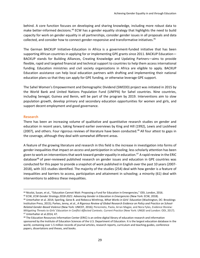behind. A core function focuses on developing and sharing knowledge, including more robust data to make better-informed decisions.<sup>44</sup> ECW has a gender equality strategy that highlights the need to build capacity for work on gender equality in all partnerships, consider gender issues in all proposals and data collected, and consider how to connect gender-responsive and transformative initiatives.<sup>45</sup>

The German BACKUP Initiative–Education in Africa is a government-funded initiative that has been supporting African countries in applying for or implementing GPE grants since 2011. BACKUP Education— BACKUP stands for Building Alliances, Creating Knowledge and Updating Partners—aims to provide flexible, rapid and targeted financial and technical support to countries to help them access international funding. Education ministries and civil society organizations in Africa are eligible to apply. BACKUP Education assistance can help local education partners with drafting and implementing their national education plans so that they can apply for GPE funding, or otherwise leverage GPE support.

The Sahel Women's Empowerment and Demographic Dividend (SWEDD) project was initiated in 2015 by the World Bank and United Nations Population Fund (UNFPA) for Sahel countries. Nine countries, including Senegal, Guinea and Benin, will be part of the program by 2019. Interventions aim to slow population growth, develop primary and secondary education opportunities for women and girls, and support decent employment and good governance.

#### <span id="page-28-0"></span>**Research**

 $\overline{\phantom{a}}$ 

There has been an increasing volume of qualitative and quantitative research studies on gender and education in recent years, taking forward earlier overviews by King and Hill (1992), Lewis and Lockheed (2007), and others. Four rigorous reviews of literature have been conducted.<sup>46</sup> All four attest to gaps in the coverage, although they deal with somewhat different areas.

A feature of the growing literature and research in this field is the increase in investigation into forms of gender inequalities that impact on *access* and *participation* in schooling; less scholarly attention has been given to work on interventions that work toward *gender equality* in education.<sup>47</sup> A rapid review in the ERIC database<sup>48</sup> of peer-reviewed published research on gender issues and education in GPE countries was conducted for this paper to provide a snapshot of work published in English over the past 10 years (2007- 2018), with 315 studies identified. The majority of the studies (254) deal with how gender is a feature of inequalities and barriers to access, participation and attainment in schooling; a minority (61) deal with interventions to address these inequalities.

<sup>44</sup> Nicolai, Susan, et al., "Education Cannot Wait: Proposing a Fund for Education in Emergencies," ODI, London, 2016.

<sup>45</sup> ECW, *ECW Gender Strategy 2018-2021: Advancing Gender in Education in Emergencies* (New York: ECW, 2018).

<sup>46</sup> Unterhalter et al. 2014; Sperling, Gene B. and Rebecca Winthrop, *What Works in Girls' Education* (Washington, DC: Brookings Institution Press, 2015); Parkes, Jenny, et al., *A Rigorous Review of Global Research Evidence on Policy and Practice on School-Related Gender-Based Violence* (New York: UNICEF, 2016); Pereznieto, Paola, Arran Magee, and Nora Fyles, *Evidence Review: Mitigating Threats to Girls' Education in Conflict Affected Contexts. Current Practice* (New York: UNGEI and London: ODI, 2017). <sup>47</sup> Unterhalter et al.2014*,* 47.

<sup>48</sup> The Education Resources Information Center (ERIC) is an online digital library of education research and information sponsored by the Institute of Education Sciences of the U.S. Department of Education. It is the largest education database in the world, containing over 1.5 million records of journal articles, research reports, curriculum and teaching guides, conference papers, dissertations and theses, and books.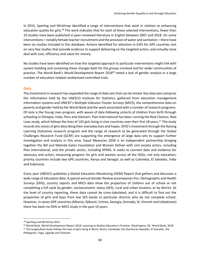In 2015, Sperling and Winthrop identified a range of interventions that work in relation to enhancing education quality for girls.<sup>49</sup> The work indicates that for each of these selected interventions, fewer than 10 studies have been published in peer-reviewed literature in English between 2007 and 2018. On some interventions—notably female teacher recruitment and the provision of water and sanitation—there have been no studies included in this database. Actions identified for attention in ESPs for GPE countries rest on very few studies that provide evidence to support delivering on the targeted action, and virtually none deal with cost, efficiency and value for money.

No studies have been identified on how this targeted approach to particular interventions might link with system building and sustaining these changes both for the groups involved and for wider communities of practice. The World Bank's *World Development Report 2018<sup>50</sup>* noted a lack of gender analysis in a large number of education-related randomized controlled trials.

#### <span id="page-29-0"></span>**Data**

The investment in research has expanded the range of data sets that can be mined. Key data sets comprise the information held by the UNESCO Institute for Statistics, gathered from education management information systems and UNICEF's Multiple Indicator Cluster Surveys (MICS), the comprehensive data on poverty and gender held by the World Bank and the work associated with a number of research programs. Of note is the Young Lives program, with waves of data following cohorts of children from birth through schooling in Ethiopia, India, Peru and Vietnam. Plan International has been running the Real Choices, Real Lives study, which follows the lives of 142 girls living in nine countries over their first 18 years.<sup>51</sup> The study records the voices of girls describing their everyday lives and hopes. DFID's investment through the Raising Learning Outcomes research program and the range of research to be generated through the Global Challenges Research Fund (GCRF) are supporting the emergence of large data sets to support further investigation and analysis in this area. Equal Measures 2030 is an independent partnership bringing together the Bill and Melinda Gates Foundation and Women Deliver with civil society actors, including Plan International, and the private sector, including KPMG. It seeks to connect data and evidence for advocacy and action, measuring progress for girls and women across all the SDGs, not only education; priority countries include two GPE countries, Kenya and Senegal, as well as Colombia, El Salvador, India and Indonesia.

Every year UNESCO publishes a Global Education Monitoring (GEM) Report that gathers and discusses a wide range of education data. A special annual Gender Review accompanies this. Demographic and Health Surveys (DHS), country reports and MICS data show the proportion of children out of school or not completing a full cycle by gender, socioeconomic status (SES), rural and urban location, or by district. At the level of country reporting, these data cannot be cross-tabulated, and it is difficult to find out the proportion of girls and boys from low SES bands or particular districts who do not complete school. However, in seven GPE countries (Albania, Djibouti, Eritrea, Georgia, Grenada, St. Vincent and Uzbekistan) there has been no DHS or MICS study in the past 10 years.

<sup>49</sup> Sperling and Winthrop 2015.

<sup>50</sup> World Bank. World Development Report 2018: Learning to Realize Education's Promise. Washington, DC: World Bank, 2018.

<sup>51</sup> The longitudinal study follows the lives of girls living in Benin, Brazil, Cambodia, the Dominican Republic, El Salvador, the Philippines, Togo, Uganda and Vietnam.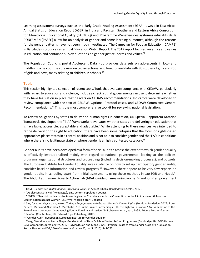Learning assessment surveys such as the Early Grade Reading Assessment (EGRA), Uwezo in East Africa, Annual Status of Education Report (ASER) in India and Pakistan, Southern and Eastern Africa Consortium for Monitoring Educational Quality (SACMEQ) and Programme d'analyse des systèmes éducatifs de la CONFEMEN (PASEC) allow for an analysis of gender and some learning outcomes, although the reasons for the gender patterns have not been much investigated. The Campaign for Popular Education (CAMPE) in Bangladesh produces an annual Education Watch Report. The 2017 report focused on ethics and values in education and contained survey questions on gender justice, norms and values. $52$ 

The Population Council's portal Adolescent Data Hub provides data sets on adolescents in low- and middle-income countries drawing on cross-sectional and longitudinal data with 86 studies of girls and 250 of girls and boys, many relating to children in schools.<sup>53</sup>

#### <span id="page-30-0"></span>**Tools**

 $\overline{a}$ 

This section highlights a selection of recent tools. Tools that evaluate compliance with CEDAW, particularly with regard to education and violence, include a checklist that governments can use to determine whether they have legislation in place that delivers on CEDAW recommendations. Indicators were developed to review compliance with the text of CEDAW, Optional Protocol cases, and CEDAW Committee General Recommendations.<sup>54</sup> This is the most comprehensive toolkit for reviewing national legislation.

To review obligations by states to deliver on human rights in education, UN Special Rapporteur Katarina Tomasevski developed the "4-A" framework; it evaluates whether states are delivering on education that is "available, accessible, acceptable and adaptable." While attending to these nuances was intended to refine delivery on the right to education, there have been some critiques that the focus on rights-based approaches places states in a central position and is not able to consider gender and the 4 A's in conditions where there is no legitimate state or where gender is a highly contested category.<sup>55</sup>

Gender audits have been developed as a form of social audit to assess the extent to which gender equality is effectively institutionalized mainly with regard to national governments, looking at the policies, programs, organizational structures and proceedings (including decision-making processes), and budgets. The European Institute for Gender Equality gives guidance on how to set up participatory gender audits, consider baseline information and review progress.<sup>56</sup> However, there appear to be very few reports on gender audits in schooling apart from initial assessments using these methods in Lao PDR and Nepal.<sup>57</sup> The Abdul Latif Jameel Poverty Action Lab (J-PAL) guide on measuring women's and girls' empowerment

<sup>52</sup> CAMPE, *Education Watch Report: Ethics and Values in School* (Dhaka, Bangladesh: CAMPE, 2017),

<sup>53</sup> "Adolescent Data Hub" (webpage), GIRL Center, Population Council,

<sup>54</sup> CEDAW, "Checklist: Indicators to Assess Legislative Compliance with the Convention on the Elimination of All Forms of Discrimination against Women (CEDAW)," working draft, undated.

<sup>55</sup> See, for example,Kardam, Nuket, *Turkey's Engagement with Global Women's Human Rights* (London: Routledge, 2017; Ron-Balsera, Maria and Akanksha A. Marphatia, "Do Public Private Partnerships Fulfil the Right to Education? An Examination of the Role of Non-state Actors in Advancing Equity, Equality and Justice," in Robertson et al., eds., *Public Private Partnerships in Education* (Cheltenham, UK: Edward Elger Publishing, 2012).

<sup>56</sup> "Gender Audit" (webpage), European Institute for Gender Equality.

<sup>57</sup> Terry, Geraldine and Netta Thapa, Gender Audit of Nepal's School Sector Reform Programme (Cambridge, UK: DFID Human Development Resource Centre, 2012); Edwards, Jan and Mona Girgis, "Practical Lessons from Gender Audit of an Education Sector Plan in Lao PDR," *Development in Practice* 25, no. 5 (2015): 747-753.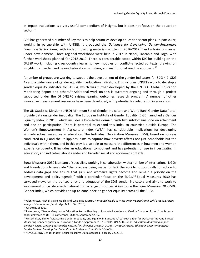in impact evaluations is a very useful compendium of insights, but it does not focus on the education sector.<sup>58</sup>

GPE has generated a number of key tools to help countries develop education sector plans. In particular, working in partnership with UNGEI, it produced the *Guidance for Developing Gender-Responsive Education Sector Plans*, with in-depth training materials written in 2016-2017, <sup>59</sup> and a training manual under development. Three regional workshops were held in 2017 in Nepal, Tanzania and Togo, with further workshops planned for 2018-2019. There is considerable scope within KIX for building on the GRESP work, including cross-country learning, new modules on conflict-affected contexts, drawing on insights from within and beyond education ministries, and institutionalizing the approach. $^{60}$ 

A number of groups are working to support the development of the gender indicators for SDG 4.7, SDG 4a and a wider range of gender equality in education indicators. This includes UNGEI's work to develop a gender equality indicator for SDG 4, which was further developed by the UNESCO Global Education Monitoring Report and others.<sup>61</sup> Additional work on this is currently ongoing and through a project supported under the DFID/ESRC raising learning outcomes research program. A number of other innovative measurement resources have been developed, with potential for adaptation in education.

The UN Statistics Division (UNSD) Minimum Set of Gender Indicators and World Bank Gender Data Portal provide data on gender inequality. The European Institute of Gender Equality (EIGE) launched a Gender Equality Index in 2013, which includes a knowledge domain, with two subdomains: one on attainment and one on participation. There is potential to expand this index to countries outside Europe. The Women's Empowerment in Agriculture Index (WEAI) has considerable implications for developing similarly robust measures in education. The Individual Deprivation Measure (IDM), based on surveys conducted in Fiji and the Philippines, aims to capture how poverty affects not just households but the individuals within them, and in this way is also able to measure the differences in how men and women experience poverty. It includes an educational component and has potential for use in investigating in education, and indicators about gender and broader social and economic contexts.

Equal Measures 2030 is a team of specialists working in collaboration with a number of international NGOs and foundations to evaluate "the progress being made (or lack thereof) to support calls for action to address data gaps and ensure that girls' and women's rights become and remain a priority on the development and policy agenda," with a particular focus on the SDGs.  $62$  Equal Measures 2030 has surveyed views on the transparency and adequacy of the SDG gender indicators and aims to work to supplement official data with material from a range of sources. A key tool is the Equal Measures 2030 SDG Gender Index, which provides an up-to-date index on gender equality across all the SDGs.

<sup>58</sup> Glennerster, Rachel, Claire Walsh, and Lucia Diaz-Martin*, A Practical Guide to Measuring Women's and Girls' Empowerment in Impact Evaluations* (Cambridge, MA: J-PAL, 2018).

<sup>59</sup> GPE/UNGEI 2017*.*

<sup>&</sup>lt;sup>60</sup> Fyles, Nora, "Gender-Responsive Education Sector Planning to Promote Inclusive and Quality Education for All." conference paper delivered at UKFIET conference, Oxford, September 2017.

<sup>&</sup>lt;sup>61</sup> Unterhalter, Elaine, "Measuring Gender Inequality and Equality in Education," concept paper for workshop "Beyond Parity: Measuring Gender Equality in Education," London, September 18-19, 2015; UNESCO, *Global Education Monitoring Report Gender Review: Creating Sustainable Futures for All* (Paris: UNESCO, 2016b); UNESCO, *Global Education Monitoring Report Gender Review: Meeting Our Commitments to Gender Equality in Education.*

<sup>62</sup> "EM2030 SDG Gender Index," Equal Measures 2030, accessed February 22, 2018.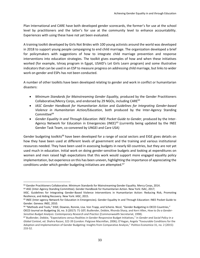Plan International and CARE have both developed gender scorecards, the former's for use at the school level by practitioners and the latter's for use at the community level to enhance accountability. Experiences with using these have not yet been evaluated.

A training toolkit developed by Girls Not Brides with 100 young activists around the world was developed in 2018 to support young people campaigning to end child marriage. The organization developed a brief for policymakers with suggestions of how to integrate child marriage prevention and response interventions into education strategies. The toolkit gives examples of how and when these initiatives worked (for example, Ishraq program in Egypt, USAID's Let Girls Learn program) and some illustrative indicators that can be used in an ESP to measure progress on addressing child marriage, but links to wider work on gender and ESPs has not been conducted.

A number of other toolkits have been developed relating to gender and work in conflict or humanitarian disasters:

- *Minimum Standards for Mainstreaming Gender Equality,* produced by the Gender Practitioners Collaborative/Mercy Corps, and endorsed by 29 NGOs, including CARE<sup>63</sup>
- *IASC Gender Handbook for Humanitarian Action* and *Guidelines for Integrating Gender-based Violence in Humanitarian Action/Education*, both produced by the Inter-Agency Standing Committee $64$
- *Gender Equality In and Through Education: INEE Pocket Guide to Gender*, produced by the Inter-Agency Network for Education in Emergencies (INEE)<sup>65</sup> (currently being updated by the INEE Gender Task Team, co-convened by UNGEI and Care USA)

Gender budgeting toolkits<sup>66</sup> have been developed for a range of social sectors and EIGE gives details on how they have been used at different levels of government and the training and various institutional resources needed. They have been used in assessing budgets in nearly 60 countries, but they are not yet used much in education. Initial work on doing gender-sensitive budgets and looking at expenditures on women and men raised high expectations that this work would support more engaged equality policy implementation, but experience on this has been uneven, highlighting the importance of appreciating the conditions under which gender budgeting initiatives are attempted.<sup>67</sup>

 $\overline{\phantom{a}}$ 63 Gender Practitioners Collaborative. Minimum Standards for Mainstreaming Gender Equality. Mercy Corps, 2014.

<sup>64</sup> IASC (Inter-Agency Standing Committee). Gender Handbook for Humanitarian Action. New York: ISAC, 2017;

IASC. Guidelines for Integrating Gender-Based Violence Interventions in Humanitarian Action: Reducing Risk, Promoting Resilience, and Aiding Recovery. New York: IASC, 2015.

<sup>65</sup> INEE (Inter-agency Network for Education in Emergencies). Gender Equality In and Through Education: INEE Pocket Guide to Gender. Geneva: INEE, 2010.

<sup>66</sup> "Methods and Tools," EIGE; Downes, Ronnie, Lisa. Von Trapp, and Scherie. Nicol, "Gender Budgeting in OECD Countries," OECD Journal on Budgeting 16, no. 3 (2017): 71-107; Budlender, Debbie, Rhonda Sharp, and Kerri Allen, *How to Do a Gender-Sensitive Budget Analysis: Contemporary Research and Practice* (Commonwealth Secretariat, 1998).

<sup>67</sup> Budlender, Debbie, "Expectations versus Realities in Gender-Responsive Budget Initiatives," in *Gender and Social Policy in a Global Context*, ed. Shahra Razavi, 322-39 (London: Palgrave Macmillan, 2006); O'Hagan, Angela "Favourable Conditions for the Adoption and Implementation of Gender Budgeting: Insights from Comparative Analysis," *Politica Economica* 31, no. 2 (2015): 233-52.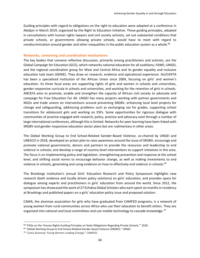Guiding principles with regard to obligations on the right to education were adopted at a conference in Abidjan in March 2019, organized by the Right to Education Initiative. These guiding principles, adopted in consultations with human rights lawyers and civil society activists, set out substantial conditions that private schools, or governments allowing private schools, would have to meet with regard to nondiscrimination around gender and other inequalities in the public education system as a whole.<sup>68</sup>

#### <span id="page-33-0"></span>**Networks, convening and coordination mechanisms**

The key bodies that convene reflective discussion, primarily among practitioners and activists, are the Global Campaign for Education (GCE), which networks national education for all coalitions; FAWE; UNGEI; and the regional coordination group for West and Central Africa and its gender equality and inclusive education task team (GENIE). They draw on research, evidence and operational experience. AU/CIEFFA has been a specialized institution of the African Union since 2004, focusing on girls' and women's education. Its three focal areas are supporting rights of girls and women in schools and universities, gender-responsive curricula in schools and universities, and working for the retention of girls in schools. ANCEFA aims to promote, enable and strengthen the capacity of African civil society to advocate and campaign for Free Education For All. UNGEI has many projects working with partner governments and NGOs and trade unions on interventions around preventing SRGBV, enhancing local level projects for change and safeguarding, addressing problems such as exchanging sex for grades, supporting school transitions for adolescent girls and working on ESPs. Some opportunities for rigorous dialogue with communities of practice engaged with research, policy, practice and advocacy exist through a number of large international conferences, although this is limited. Networks for peer learning have been linked with SRGBV and gender-responsive education sector plans but are rudimentary in other areas.

The Global Working Group to End School-Related Gender-Based Violence, co-chaired by UNGEI and UNESCO in 2018, developed an action plan to raise awareness around the issue of SRGBV; encourage and promote national governments, donors and partners to provide the resources and leadership to end violence in schools; and develop a range of country-level interventions to support initiatives in this area. The focus is on implementing policy and legislation, strengthening prevention and response at the school level, and shifting social norms to encourage behavior change, as well as making investments to end violence in schools, generating and using evidence on how to effectively end violence in schools.<sup>69</sup>

The Brookings Institution's annual Girls' Education Research and Policy Symposium highlights new research (both evidence and locally driven policy solutions) on girls' education, and provides space for dialogue among experts and practitioners in girls' education from around the world. Since 2012, the symposium has showcased the work of 27 Echidna Global Scholars who each spent six months in residency at Brookings and published papers on a girls' education policy issue and proposed solution.

CAMA, the alumnae association for girls who have graduated from CAMFED programs, is a network of young women from rural communities across Africa who use their education to benefit others. They are organized into national and local committees and use mobile technology to cascade knowledge.<sup>70</sup>

<sup>&</sup>lt;sup>68</sup> "FAQs on the 'Human Rights Guiding Principles on State Obligations Regarding Private Schools," 2018.

<sup>69</sup> "Global Working Group to End School-Related Gender-based Violence (SRGBV)," UNGEI.

<sup>70</sup> "Cama Alumnae: Young Women Leading Change," CAMFED.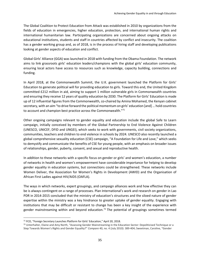The Global Coalition to Protect Education from Attack was established in 2010 by organizations from the fields of education in emergencies, higher education, protection, and international human rights and international humanitarian law. Participating organizations are concerned about ongoing attacks on educational institutions, students and staff in countries affected by conflict and insecurity. The coalition has a gender working group and, as of 2018, is in the process of hiring staff and developing publications looking at gender aspects of education and conflict.

Global Girls' Alliance (GGA) was launched in 2018 with funding from the Obama Foundation. The network aims to link grassroots girls' education leaders/champions with the global girls' education community, ensuring local actors have access to resources such as knowledge, capacity building, connections and funding.

In April 2018, at the Commonwealth Summit, the U.K. government launched the Platform for Girls' Education to generate political will for providing education to girls. Toward this end, the United Kingdom committed £212 million in aid, aiming to support 1 million vulnerable girls in Commonwealth countries and ensuring they receive 12 years of quality education by 2030. The Platform for Girls' Education is made up of 12 influential figures from the Commonwealth, co-chaired by Amina Mohamed, the Kenyan cabinet secretary, with an aim "to drive forward the political momentum on girls' education [and]… hold countries to account and champion best practice across the Commonwealth."<sup>71</sup>

Other ongoing campaigns relevant to gender equality and education include the global Safe to Learn campaign, initially conceived by members of the Global Partnership to End Violence Against Children [\(UNESCO,](https://en.unesco.org/themes/school-violence-and-bullying) [UNICEF,](https://www.unicef.org/end-violence/in-schools) DFID and [UNGEI\)](http://www.ungei.org/), which seeks to work with governments, civil society organizations, communities, teachers and children to end violence in schools by 2024. UNESCO also recently launched a global comprehensive sexuality education (CSE) campaign, "A Foundation for Life and Love," which seeks to demystify and communicate the benefits of CSE for young people, with an emphasis on broader issues of relationships, gender, puberty, consent, and sexual and reproductive health.

In addition to these networks with a specific focus on gender or girls' and women's education, a number of networks in health and women's empowerment have considerable importance for helping to develop gender equality in education systems, but connections could be strengthened. These networks include Women Deliver, the Association for Women's Rights in Development (AWID) and the Organisation of African First Ladies against HIV/AIDS (OAFLA).

The ways in which networks, expert groupings, and campaign alliances work and how effective they can be is always contingent on a range of processes. Plan International's work and research on gender in Lao PDR in 2014-2015 concluded that the ministry of education's structures and the siloed nature of gender expertise within the ministry was a key hindrance to greater uptake of gender equality. Engaging with institutions that may be difficult or resistant to change has been a key insight of the experience with gender mainstreaming within and beyond education.<sup>72</sup> The potential of groupings sometimes termed

<sup>71</sup> FCO, "Foreign Secretary Launches Platform for Girls' Education," April 20, 2018.

<sup>72</sup> Unterhalter, Elaine and Amy North, "Assessing Gender Mainstreaming in the Education Sector: Depoliticised Technique or a Step Towards Women's Rights and Gender Equality?" *Compare* 40, no. 4 (July 2010): 389-404; Sweetman, Caroline, "Gender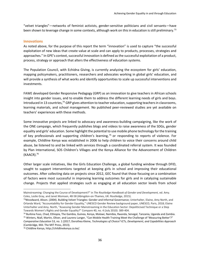"velvet triangles"—networks of feminist activists, gender-sensitive politicians and civil servants—have been shown to leverage change in some contexts, although work on this in education is still preliminary.<sup>73</sup>

#### <span id="page-35-0"></span>**Innovations**

As noted above, for the purpose of this report the term "innovation" is used to capture "the successful exploitation of new ideas that create value at scale and can apply to products, processes, strategies and approaches." In GPE's context, successful innovation is defined as the successful exploitation of a product, process, strategy or approach that alters the effectiveness of education systems.

The Population Council, with Echidna Giving, is currently analyzing the ecosystem for girls' education, mapping policymakers, practitioners, researchers and advocates working in global girls' education, and will provide a synthesis of what works and identify opportunities to scale up successful interventions and investments.

FAWE developed Gender Responsive Pedagogy (GRP) as an innovation to give teachers in African schools insight into gender issues, and to enable them to address the different learning needs of girls and boys. Introduced in 13 countries,<sup>74</sup> GRP gives attention to teacher education, supporting teachers in classrooms, learning materials, and school management. No published peer-reviewed studies are yet available on teachers' experiences with these methods.

Some innovative projects are linked to advocacy and awareness-building campaigning, like the work of the ONE campaign, which frequently publishes blogs and videos to raise awareness of the SDGs, gender equality and girls' education. Some highlight the potential to use mobile phone technology for the training of key professionals and supporting children's learning,<sup>75</sup> or responding to reports of violence. For example, Childline Kenya was established in 2006 to help children to voice their concerns around child abuse, be listened to and be linked with services through a coordinated referral system. It was founded by Plan International, SOS Children's Villages and the Kenya Alliance for the Advancement of Children (KAACR).<sup>76</sup>

Other larger scale initiatives, like the Girls Education Challenge, a global funding window through DFID, sought to support interventions targeted at keeping girls in school and improving their educational outcomes. After collecting data on projects since 2012, GEC found that those focusing on a combination of factors were most successful in improving learning outcomes for girls and in catalyzing sustainable change. Projects that applied strategies such as engaging at all education sector levels from school

Mainstreaming: Changing the Course of Development?" in *The Routledge Handbook of Gender and Development,* ed. Amy. Coles, Leslie Gray, and Janet Momsen, 48-58 (Abingdon-on-Thames, UK: Routledge, 2015).

<sup>73</sup>Woodward, Alison. (2004). Building Velvet Triangles: Gender and Informal Governance; Unterhalter, Elaine, Amy North, and Orlanda Ward, "Accountability for Gender Equality," UNESCO Gender Review background paper, UNESCO, Paris, 2018; Elaine Unterhalter and Amy. North, "Assessing Gender Mainstreaming in the Education Sector: Depoliticised Technique or a Step Towards Women's Rights and Gender Equality?" Compare 40, no. 4 (July 2010): 389-404.

<sup>74</sup> Burkina Faso, Chad, Ethiopia, The Gambia, Guinea, Kenya, Malawi, Namibia, Rwanda, Senegal, Tanzania, Uganda and Zambia. <sup>75</sup> Winters, Niall, Martin, Oliver, and Laurenz Langer, "Can Mobile Health Training Meet the Challenge of 'Measuring Better'?" *Comparative Education* 53, no. 1 (2017; Dorothea Kleine, *Technologies of Choice? ICTs, Development, and Capabilities Approach* (Cambridge, MA: The MIT Press, 2013).

<sup>76</sup> Childline Kenya, http://childlinekenya.co.ke/.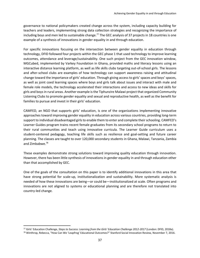governance to national policymakers created change across the system, including capacity building for teachers and leaders, implementing strong data collection strategies and recognizing the importance of including boys and men led to sustainable change.<sup>77</sup> The GEC analysis of 37 projects in 18 countries is one example of a synthesis of innovations in gender equality in and through education.

For specific innovations focusing on the intersection between gender equality in education through technology, DFID followed four projects within the GEC phase 1 that used technology to improve learning outcomes, attendance and leverage/sustainability. One such project from the GEC innovation window, MGCubed, implemented by Varkey Foundation in Ghana, provided maths and literacy lessons using an interactive distance learning platform, as well as life skills clubs targeting out-of-school girls. The lessons and after-school clubs are examples of how technology can support awareness raising and attitudinal change toward the importance of girls' education. Through giving access to girls' spaces and boys' spaces, as well as joint coed learning spaces where boys and girls talk about issues and interact with male and female role models, the technology accelerated their interactions and access to new ideas and skills for girls and boys in rural areas. Another example is the Tiphunzire Malawi project that organized Community Listening Clubs to promote gender equality and sexual and reproductive health, as well as the benefit for families to pursue and invest in their girls' education.

CAMFED, an NGO that supports girls' education, is one of the organizations implementing innovative approaches toward improving gender equality in education across various countries, providing long-term support to individual disadvantaged girls to enable them to enter and complete their schooling. CAMFED's Learner Guides program trains recent female graduates from its secondary school programs to return to their rural communities and teach using innovative curricula. The Learner Guide curriculum uses a student-centered pedagogy, teaching life skills such as resilience and goal-setting and future career planning. The classes are taught to over 120,000 secondary students in Ghana, Malawi, Tanzania, Zambia and Zimbabwe. 78

These examples demonstrate strong solutions toward improving quality education through innovation. However, there has been little synthesis of innovations in gender equality in and through education other than that accomplished by GEC.

One of the goals of the consultation on this paper is to identify additional innovations in this area that have strong potential for scale-up, institutionalization and sustainability. More systematic analysis is needed of how these innovations are being—or could be—institutionalized at scale. Often programs and innovations are not aligned to systems or educational planning and are therefore not translated into country-led change.

 $\overline{a}$ 

<sup>77</sup> Girls' Education Challenge, *Steps to Success: Learning from the Girls' Education Challenge 2012-2017* (London: DFID, 2018a).

<sup>&</sup>lt;sup>78</sup> Winthrop, Rebecca, "How Can We 'Leapfrog' Educational Outcomes?" Stanford Social Innovation Review, November 7, 2016.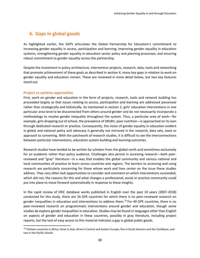# **6. Gaps in global goods**

As highlighted earlier, the GEPS articulates the Global Partnership for Education's commitment to increasing gender equality in access, participation and learning; improving gender equality in education systems; strengthening gender equality in education sector policy and planning processes; and ensuring robust commitment to gender equality across the partnership.

Despite the investment in policy architecture, intervention projects, research, data, tools and networking that promote achievement of these goals as described in section 4, many key gaps in relation to work on gender equality and education remain. These are reviewed in more detail below, but two key features stand out.

#### <span id="page-37-0"></span>**Project vs systems approaches**

 $\overline{a}$ 

First, work on gender and education in the form of projects, research, tools and network building has proceeded largely so that issues relating to *access, participation and learning* are addressed piecemeal rather than strategically and holistically. As mentioned in section 2, girls' education interventions in one particular area tend to be disconnected from others around gender and do not necessarily incorporate a methodology to resolve gender inequality throughout the system. Thus, a particular area of work—for example, girls dropping out of school, the prevalence of SRGBV, poor nutrition—is approached on its own through dedicated research or practice. Consequently, the vision of gender equality in education evident in global and national policy and advocacy is generally not mirrored in the research, data sets, tools or approach to convening. With the patchwork of research studies, it is difficult to see the interconnections between particular interventions, education system building and learning outcomes.

Research studies have tended to be written by scholars from the global north and sometimes exclusively for an academic rather than policy audience. Challenges also persist in accessing research—both peerreviewed and "gray" literature—in a way that enables the global community and various national and local communities of practice to learn across countries and regions. The barriers to accessing and using research are particularly concerning for those whose work and lives center on the issue these studies address. They very often lack opportunities to consider and comment on which interventions succeeded, which did not, the reasons for this and what changes a professional, social or practice community could put into place to move forward systematically in response to these insights.

In the rapid review of ERIC database works published in English over the past 10 years (2007-2018) conducted for this study, there are 26 GPE countries for which there is no peer-reviewed research on gender inequalities in education and interventions to address them.<sup>79</sup> For 40 GPE countries, there is no peer-reviewed research on programmatic interventions around gender and education, though some studies do explore gender inequalities in education. Studies may be found in languages other than English on aspects of gender and education in these countries, possibly in gray literature, including project reports, but the lack of easy access to this material indicates a gap in global public goods.

<sup>79</sup> Thirteen countries in Africa, three in Asia, three in Central and Eastern Europe, five in South America and the Caribbean, and two in the Pacific Islands.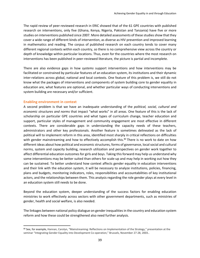The rapid review of peer-reviewed research in ERIC showed that of the 61 GPE countries with published research on interventions, only five (Ghana, Kenya, Nigeria, Pakistan and Tanzania) have five or more studies on interventions published since 2007. More detailed assessments of these studies show that they cover a wide range of different kinds of intervention, as diverse as HIV prevention and improved learning in mathematics and reading. The corpus of published research on each country tends to cover many different regional contexts within each country, so there is no comprehensive view across the country or depth of knowledge within particular locations. Thus, even for the countries where the most research on interventions has been published in peer-reviewed literature, the picture is partial and incomplete.

There are also evidence gaps in how *systems* support interventions and how interventions may be facilitated or constrained by particular features of an education system, its institutions and their dynamic inter-relations across global, national and local contexts. One feature of this problem is, we still do not know what the packages of interventions and components of system building core to gender equality in education are, what features are optional, and whether particular ways of conducting interventions and system building are necessary and/or sufficient.

#### **Enabling environment in context**

 $\overline{a}$ 

A second problem is that we have an inadequate understanding of the *political, social, cultural and economic structures and norms* that impact "what works" in all areas. One feature of this is the lack of scholarship on particular GPE countries and what types of curriculum change, teacher education and support, particular styles of management and community engagement are most effective in different contexts. There are considerable gaps in understanding the capacity needs of these teachers, administrators and other key professionals. Another feature is sometimes delineated as the lack of political will to implement reform in this area, identified most sharply in critical reflections on difficulties with gender mainstreaming and how to effectively accomplish this.<sup>80</sup> There is no work to date on how different ideas about how political and economic structures, forms of governance, local social and cultural norms, system and capacity building, research utilization and perspectives on gender work together to affect differential education outcomes for girls and boys. Taking this forward may help us understand why some interventions may be better suited than others for scale-up and may help in working out how they can be sustained. To better understand how context affects gender equality in education interventions and their link with the education system, it will be necessary to analyze institutions, policies, financing, plans and budgets, monitoring indicators, roles, responsibilities and accountabilities of key institutional actors, and the relationships between them. This analysis regarding the role gender plays at every level in an education system still needs to be done.

Beyond the education system, deeper understanding of the success factors for enabling education ministries to work effectively across sectors with other government departments, such as ministries of gender, health and social welfare, is also needed.

The linkages between national policy dialogue on gender inequalities in the country and education system reform and how these could be strengthened also need further analysis.

<sup>80</sup> See, for example, Hannan, Carolyn, "Mainstreaming: Reflections on Implementation of the Strategy," presentation at the seminar "Integrating Gender Equality into Development Co-operation," Brussels, November 27-28, 2003..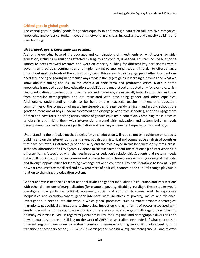#### **Critical gaps in global goods**

The critical gaps in global goods for gender equality in and through education fall into five categories: knowledge and evidence, tools, innovations, networking and learning exchange, and capacity building and peer learning.

#### *Global goods gap 1: Knowledge and evidence*

A strong knowledge base of the packages and combinations of investments on what works for girls' education, including in situations affected by fragility and conflict, is needed. This can include but not be limited to peer-reviewed research and work on capacity building for different key participants within governments, schools, communities and implementing partner organizations in order to effect change throughout multiple levels of the education system. This research can help gauge whether interventions need sequencing or gearing in particular ways to yield the largest gains in learning outcomes and what we know about planning and risk in the context of short-term and protracted crises. More in-depth knowledge is needed about how education capabilities are understood and acted on—for example, which kind of education outcomes, other than literacy and numeracy, are especially important for girls and boys from particular demographics and are associated with developing gender and other equalities. Additionally, understanding needs to be built among teachers, teacher trainers and education communities of the formation of masculine stereotypes, the gender dynamics in and around schools, the gender dimensions of boys' underachievement and disengagement from schooling, and the engagement of men and boys for supporting achievement of gender equality in education. Combining these areas of scholarship and linking them with interventions around girls' education and system building needs development in order to increase participation and learning achievement equally for girls and boys.

Understanding the effective methodologies for girls' education will require not only evidence on capacity building and on the interventions themselves, but also an historical and comparative analysis of countries that have achieved substantive gender equality and the role played in this by education systems, crosssector collaborations and key agents. Evidence to sustain claims about the relationship of interventions in different forms (associated with changes in costs or pedagogic relationships), agents and systems needs to be built looking at both cross-country and cross-sector work through research using a range of methods, and through opportunities for learning exchange between countries. Key considerations to look at might be what resources are mobilized and how processes of political, economic and cultural change play out in relation to changing the education system.

Gender analysis is needed as part of national studies on gender inequalities in education and intersections with other dimensions of marginalization (for example, poverty, disability, rurality). These studies would investigate how particular political, economic, social and cultural structures work to reproduce inequalities and exclusion where gender intersects with injustices of poverty, racism and violence. Investigation is needed into the ways in which global processes, such as macro-economic strategies, migrations, geopolitical changes and technologies, impact on changing forms of power associated with gender inequalities in the countries within GPE. There are considerable gaps with regard to scholarship on many countries in GPE, in regard to global pressures, their regional and demographic diversities and how inequalities intersect. Building on the work of GRESP, case studies are needed of what countries in different regions have done to address common themes—including supporting adolescent girls in transition to secondary school; SRGBV; child marriage; and menstrual hygiene management—and of ways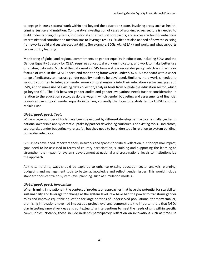to engage in cross-sectoral work within and beyond the education sector, involving areas such as health, criminal justice and nutrition. Comparative investigation of cases of working across sectors is needed to build understanding of systems, institutional and structural constraints, and success factors for enhancing interministerial coordination mechanisms to leverage results. Studies are also needed of how the existing frameworks build and sustain accountability (for example, SDGs, AU, ASEAN) and work, and what supports cross-country learning.

Monitoring of global and regional commitments on gender equality in education, including SDGs and the Gender Equality Strategy for CESA, requires conceptual work on indicators, and work to make better use of existing data sets. Much of the data used in ESPs have a stress on gender parity, which is still a major feature of work in the GEM Report, and monitoring frameworks under SDG 4. A dashboard with a wider range of indicators to measure gender equality needs to be developed. Similarly, more work is needed to support countries to integrate gender more comprehensively into their education sector analyses and ESPs, and to make use of existing data collection/analysis tools from outside the education sector, which go beyond GPI. The link between gender audits and gender evaluations needs further consideration in relation to the education sector, as do the ways in which gender budgeting and assessments of financial resources can support gender equality initiatives, currently the focus of a study led by UNGEI and the Malala Fund.

#### *Global goods gap 2: Tools*

While a large number of tools have been developed by different development actors, a challenge lies in national ownership and systematic uptake by partner developing countries. The existing tools—indicators, scorecards, gender budgeting—are useful, but they need to be understood in relation to system building, not as discrete tools.

GRESP has developed important tools, networks and spaces for critical reflection, but for optimal impact, gaps need to be assessed in terms of country participation, sustaining and supporting the learning to strengthen the impact for systems development at national and cross-national levels to institutionalize the approach.

At the same time, ways should be explored to enhance existing education sector analysis, planning, budgeting and management tools to better acknowledge and reflect gender issues. This would include standard tools central to system-level planning, such as simulation models.

#### *Global goods gap 3: Innovations*

When framing innovations in the context of products or approaches that have the potential for scalability, sustainability and leverage for change at the system level, few have had the power to transform gender roles and improve equitable education for large portions of underserved populations. Yet many smaller, promising innovations have had impact at a project level and demonstrate the important role that NGOs play in testing innovative ideas and contextualizing interventions to meet the needs of girls within specific communities. Notably, these include in-depth participatory reflection on innovations such as time-use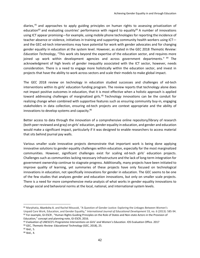diaries,<sup>81</sup> and approaches to apply guiding principles on human rights to assessing privatization of education<sup>82</sup> and evaluating countries' performance with regard to equality<sup>83</sup> A number of innovations using ICT appear promising—for example, using mobile phone technologies for reporting the incidence of teacher absence or violence, initiatives in training and supporting community health workers using ICT and the GEC ed-tech interventions may have potential for work with gender advocates and for changing gender equality in education at the system level. However, as stated in the GEC 2018 *Thematic Review: Education Technology*, "This work sits beyond the expertise of the education sector, and requires more joined up work within development agencies and across government departments."<sup>84</sup> The acknowledgment of high levels of gender inequality associated with the ICT sector, however, needs consideration. There is a need to engage more holistically within the education sector, and invest in projects that have the ability to work across sectors and scale their models to make global impact.

The GEC 2018 review on technology in education studied successes and challenges of ed-tech interventions within its girls' education funding program. The review reports that technology alone does not impact positive outcomes in education, that it is most effective when a holistic approach is applied toward addressing challenges of marginalized girls.<sup>85</sup> Technology innovations can be the conduit for realizing change when combined with supportive features such as ensuring community buy-in, engaging stakeholders in data collection, ensuring ed-tech projects are context appropriate and the ability of innovations to develop systems and capacity.<sup>86</sup>

Better access to data through the innovation of a comprehensive online repository/library of research (both peer reviewed and gray) on girls' education, gender equality in education, and gender and education would make a significant impact, particularly if it was designed to enable researchers to access material that sits behind journal pay walls.

Various smaller scale innovative projects demonstrate that important work is being done applying innovative solutions to gender equality challenges within education, especially for the most marginalized communities. However, significant challenges exist for scaling ed-tech girls' education projects. Challenges such as communities lacking necessary infrastructure and the lack of long-term integration for government ownership continue to stagnate progress. Additionally, many projects have been initiated to improve quality of learning, yet summaries of these projects have only focused on technological innovations in education, not specifically innovations for gender in education. The GEC seems to be one of the few studies that analyzes gender and education innovations, but only on smaller scale projects. There is a need for more comprehensive meta-analysis of what works in gender equality innovations to change social and behavioral norms at the local, national, and international system levels.

l

<sup>81</sup> Marphatia, Akanksha A. and Rachel Moussié, "A Question of Gender Justice: Exploring the Linkages Between Women's Unpaid Care Work, Education, and Gender Equality," *International Journal of Educational Development* 33, no. 6 (2013): 585-94. 82 For example, GI-ESCR, "Human Rights Guiding Principles on the Role of States and Non-state Actors in the Provision of Education," concept and planning note, GI-ESCR, 2016.

<sup>83</sup> *Evaluation of UNESCO's Programme Interventions on Girls' and Women's Education*. IOS Evaluation Office. 2017 <sup>84</sup> GEC, *Thematic Review: Educational Technology* (GEC, 2018), 25.

<sup>85</sup> Ibid.*,* 5.

<sup>86</sup> Ibid.*,* 4.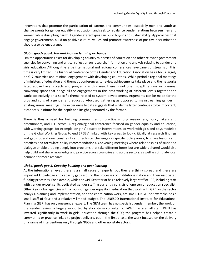Innovations that promote the participation of parents and communities, especially men and youth as change agents for gender equality in education, and seek to rebalance gender relations between men and women while disrupting harmful gender stereotypes can build buy-in and sustainability. Approaches that engage government, build on positive cultural values and promote awareness of positive discrimination should also be encouraged.

#### *Global goods gap 4: Networking and learning exchange*

Limited opportunities exist for developing country ministries of education and other relevant government agencies for convening and critical reflection on research, information and analysis relating to gender and girls' education. Although the large international and regional conferences have panels or streams on this, time is very limited. The biannual conference of the Gender and Education Association has a focus largely on G-7 countries and minimal engagement with developing countries. While periodic regional meetings of ministers of education and thematic conferences to review achievements take place and the networks listed above have projects and programs in this area, there is not one in-depth annual or biannual convening space that brings all the engagements in this area working at different levels together and works collectively on a specific theme related to system development. Arguments can be made for the pros and cons of a gender and education–focused gathering as opposed to mainstreaming gender in existing annual meetings. The experience to date suggests that while the latter continues to be important, it cannot substitute for the depth and insight generated by the former.

There is thus a need for building communities of practice among researchers, policymakers and practitioners, and LEG actors. A regional/global conference focused on gender equality and education, with working groups, for example, on girls' education interventions, or work with girls and boys modeled on the Global Working Group to end SRGBV, linked with key areas to look critically at research findings and gaps, operational constraints and technical challenges in specific policy areas, to share lessons and practices and formulate policy recommendations. Convening meetings where relationships of trust and dialogue enable probing deeply into problems that take different forms but are widely shared would also help build and share knowledge and practice across countries and across sectors, as well as stimulate local demand for more research.

#### *Global goods gap 5: Capacity building and peer learning*

At the international level, there is a small cadre of experts, but they are thinly spread and there are important knowledge and capacity gaps around the processes of institutionalization and their associated funding processes. For example, while the GPE Secretariat has a relatively large staff of 102, including staff with gender expertise, its dedicated gender staffing currently consists of one senior education specialist. Other key global agencies with a focus on gender equality in education that work with GPE on the sector analysis, planning and implementation, and the coordination work, are small. UNGEI, for example, has a small staff of four and a relatively limited budget. The UNESCO International Institute for Educational Planning (IIEP) has only one gender expert. The GEM team has no specialist gender member; the work on the gender review is largely supported by short-term consultants. FAWE has a small staff. DFID has invested significantly in work in girls' education through the GEC; the program has helped create a community or practice linked to project delivery, but in the first phase, the work focused on the delivery of a range of interventions only through NGOs and other nonstate actors.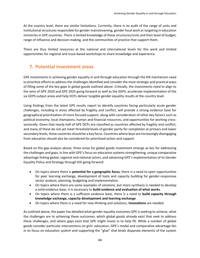At the country level, there are similar limitations. Currently, there is no audit of the range of units and institutional structures responsible for gender mainstreaming, gender focal work or targeting in education ministries in GPE countries. There is limited knowledge of these structures/units and their level of budget, range of influence and decision-making, and the communities of practice that support them.

There are thus limited resources at the national and international levels for this work and limited opportunities for regional and issue-based workshops to share knowledge and experience.

# **7. Potential investment areas**

GPE investments in achieving gender equality in and through education through the KIX mechanism need to prioritize efforts to address the challenges identified and consider the most strategic and practical ways of filling some of the key gaps in global goods outlined above. Critically, the investments need to align to the aims of GPE 2020 and GPE 2025 going forward as well as the GEPS, accelerate implementation of the six GEPS output areas and help DCPs deliver tangible gender equality results at the country level.

Using findings from the latest GPE results report to identify countries facing particularly acute gender challenges, including in areas affected by fragility and conflict, will provide a strong evidence base for geographical prioritization of more focused support, along with consideration of other key factors such as political economy, local champions, human and financial resources, and opportunities for working crosssectorally. Given that nearly half of GPE DCPs are classified as countries affected by fragility and conflict, and many of these do not yet meet threshold levels of gender parity for completion at primary and lower secondary levels, these countries should be a key focus. Countries where boys are increasingly disengaging from education should also be considered for prioritized action and support.

Based on the gap analysis above, three areas for global goods investment emerge as key for addressing the challenges and gaps, in line with GPE's focus on education systems strengthening, unique comparative advantage linking global, regional and national actors, and advancing GPE's implementation of its Gender Equality Policy and Strategy through KIX going forward:

- On topics where there is **potential for a geographic focus**, there is a need to open opportunities for peer learning exchange, development of tools and capacity building for gender-responsive sector analysis, planning, budgeting and implementation.
- On topics where there are some examples of solutions, but more synthesis is needed to develop a solid evidence base, it is necessary to **build evidence and evaluation of what works**.
- On topics where there is a sufficient evidence base, there is a need to **build capacity through knowledge exchange, capacity development and learning exchange**.
- On topics where there is a need for new thinking and solutions, **innovations** are needed.

As outlined above, the paper has detailed what gender equality outcomes GPE is seeking to achieve, what the challenges are to achieving these outcomes, which global goods already exist that seek to address these challenges, and where gaps exist that GPE might invest in to help fill. While a number of global goods consider particular interventions on girls' education, GPE's model and comparative advantage lies in its focus on education *system* and supporting the "glue" that binds disparate elements of the system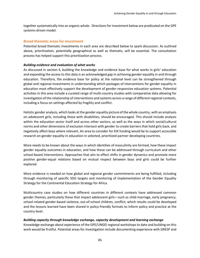together systematically into an organic whole. Directions for investment below are predicated on the GPE systems-driven model.

#### <span id="page-44-0"></span>**Broad thematic areas for investment**

Potential broad thematic investments in each area are described below to spark discussion. As outlined above, prioritization, potentially geographical as well as thematic, will be essential. The consultation process has helped support this prioritization process.

#### *Building evidence and evaluation of what works*

As discussed in section 4, building the knowledge and evidence base for what works in girls' education and expanding the access to this data is an acknowledged gap in achieving gender equality in and through education. Therefore, the evidence base for policy at the national level can be strengthened through global and regional investments in understanding which packages of interventions for gender equality in education most effectively support the development of gender-responsive education systems. Potential activities in this area include a curated range of multi-country studies with comparative data allowing for investigation of the relationship of interventions and systems across a range of different regional contexts, including a focus on settings affected by fragility and conflict.

Holistic gender analysis, which looks at the gender equality picture of the whole country, with an emphasis on adolescent girls, including those with disabilities, should be encouraged. This should include analysis within the education sector itself and across other sectors, as well as the ways in which social/cultural norms and other dimensions of exclusion intersect with gender to create barriers that hold girls back, and negatively affect boys where relevant. An area to consider for KIX funding would be to support accessible research on gender equality in education in selected, prioritized partner developing countries.

More needs to be known about the ways in which identities of masculinity are formed, how these impact gender equality outcomes in education, and how these can be addressed through curriculum and other school-based interventions. Approaches that aim to effect shifts in gender dynamics and promote more positive gender-equal relations based on mutual respect between boys and girls could be further explored.

More evidence is needed on how global and regional gender commitments are being fulfilled, including through monitoring of specific SDG targets and monitoring of implementation of the Gender Equality Strategy for the Continental Education Strategy for Africa.

Multicountry case studies on how different countries in different contexts have addressed common gender themes, particularly those that impact adolescent girls—such as child marriage, early pregnancy, school-related gender-based violence, out-of-school children, conflict; which results could be developed and the lessons learned have been shared in policy-friendly formats to inform policy and practice at the country level.

#### *Building capacity through knowledge exchange, capacity development and learning exchange*

Knowledge exchange about experience of the GPE/UNGEI regional workshops to date and building on this work would be fruitful. Potential areas for investigation include documenting experience with GRESP and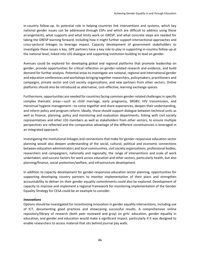in-country follow-up, its potential role in helping countries link interventions and systems, which key national gender issues can be addressed through ESPs and which are difficult to address using these arrangements, what supports and what limits work on GRESP, and what concrete steps are needed for taking the GRESP learning forward, including how it might further support intersectional approaches and cross-sectoral linkages to leverage impact. Capacity development of government stakeholders to investigate these issues is key. GPE partners have a key role to play in supporting in-country follow-up at the national level, linked into LEG dialogue and supporting institution building to lead on gender.

Avenues could be explored for developing global and regional platforms that promote leadership on gender, provide opportunities for critical reflection on gender-related research and evidence, and build demand for further analysis. Potential areas to investigate are national, regional and international gender and education conferences and workshops bringing together researchers, policymakers, practitioners and campaigns, private sector and civil society organizations, and new partners from other sectors. Online platforms should also be introduced as alternative, cost-effective, learning exchange spaces.

Furthermore, opportunities are needed for countries facing common gender-related challenges in specific complex thematic areas—such as child marriage, early pregnancy, SRGBV, HIV transmission, and menstrual hygiene management—to come together and share experiences, deepen their understanding, and inform policy and program reform. Ideally, these should support dialogue between technical units as well as finance, planning, policy and monitoring and evaluation departments, linking with civil society representatives and other LEG members as well as stakeholders from other sectors, to ensure multiple perspectives are reflected and the comparative advantage of the different constituencies is leveraged in an integrated approach.

Investigating the institutional linkages and connections that make for gender-responsive education sector planning would also deepen understanding of the social, cultural, political and economic connections between education administrators and local communities, civil society organizations, professional bodies, researchers and campaigners, nationally and regionally; the range of interventions and scale of work undertaken; and success factors for work across education and other sectors, particularly health, but also planning/finance, social protection/welfare, and infrastructure development.

In addition to capacity development for gender-responsive education sector planning, opportunities for supporting developing country partners to monitor implementation of their plans and strengthen accountability to deliver on their gender equality commitments could also be explored. Development of capacity to improve and implement a regional framework for monitoring implementation of the Gender Equality Strategy for CESA could be an example to consider.

#### *Innovations*

Options should be investigated for incentivizing innovation in gender equality interventions, including use of ICT, documenting good practices and showcasing successful results. A comprehensive online repository/library of research (both peer reviewed and gray) on girls' education, gender equality in education, and gender and education would make a significant impact, particularly if it was designed to enable researchers to access material that sits behind journal pay walls.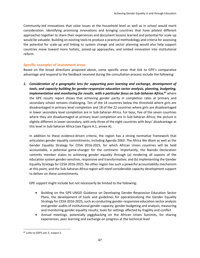Community-led innovations that solve issues at the household level as well as in school would merit consideration. Identifying promising innovations and bringing countries that have piloted different approaches together to share their experiences and document lessons learned and potential for scale-up would be valuable. Building on existing tools to produce a practical methodology and criteria for assessing the potential for scale-up and linking to system change and sector planning would also help support countries move toward more holistic, joined-up approaches, and embed innovation into institutional reform.

#### <span id="page-46-0"></span>**Specific examples of investment areas**

Based on the broad directions proposed above, some specific areas that link to GPE's comparative advantage and respond to the feedback received during the consultation process include the following:

*1. Consideration of a geographic lens for supporting peer learning and exchange, development of tools, and capacity building for gender-responsive education sector analysis, planning, budgeting, implementation and monitoring for results, with a particular focus on Sub-Saharan Africa, <sup>87</sup>* where the GPE results report shows that achieving gender parity in completion rates at primary and secondary school remains challenging. Ten of the 14 countries below the threshold where girls are disadvantaged in primary level completion and 18 of the 22 countries where girls are disadvantaged in lower secondary level completion are in Sub-Saharan Africa. For boys, five of the seven countries where they are disadvantaged at primary level completion are in Sub-Saharan Africa; the picture is slightly different in lower secondary, with only three of the eight countries with boys' disadvantage at this level in Sub-Saharan Africa (see Figure A.1, annex A).

In addition to these evidence-driven criteria, the region has a strong normative framework that articulates gender equality commitments, including Agenda 2063: The Africa We Want as well as the Gender Equality Strategy for CESA 2016-2025, for which African Union countries will be held accountable, a potential game-changer for the continent. Importantly, the Nairobi Declaration commits member states to achieving gender equality through (a) rendering all aspects of the education system gender-sensitive, responsive and transformative; and (b) implementing the Gender Equality Strategy for CESA 2016-2025. No other region has such a powerful accountability mechanism at this point, and the Sub-Saharan Africa region will need considerable capacity development support to deliver on these commitments.

GPE support might include but not necessarily be limited to the following:

- Building on the GPE-UNGEI Guidance on Developing Gender-Responsive Education Sector Plans, the development of tools and guidelines for operationalizing the Gender Equality Strategy for CESA 2016-2025, such as conducting gender-responsive education sector analysis and gender audits of institutional gender capacity; gender budgeting and analysis; measuring and monitoring gender equality results; tools for settings affected by fragility and conflict
- Annual meetings, potentially piggybacking on the African Union Summits, for sharing experiences, peer learning and exchange on progress at the technical level

 $\overline{a}$ 

<sup>87</sup> Links to GEPS aim 3, output 3.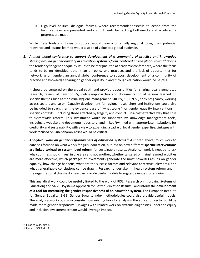• High-level political dialogue forums, where recommendations/calls to action from the technical level are presented and commitments for tackling bottlenecks and accelerating progress are made

While these tools and forms of support would have a principally regional focus, their potential relevance and lessons learned would also be of value to a global audience.

*2. Annual global conference to support development of a community of practice and knowledge sharing around gender equality in education system reform, centered on the global south. <sup>88</sup>* Noting the tendency for gender equality issues to be marginalized at academic conferences, where the focus tends to be on identities rather than on policy and practice, and the lack of opportunities for networking on gender, an annual global conference to support development of a community of practice and knowledge sharing on gender equality in and through education would be helpful.

It should be centered on the global south and provide opportunities for sharing locally generated research, review of new tools/guidelines/approaches and documentation of lessons learned on specific themes such as menstrual hygiene management, SRGBV, SRHR/CSE, early pregnancy, working across sectors and so on. Capacity development for regional researchers and institutions could also be included to strengthen the evidence base of "what works" for gender equality interventions in specific contexts—including those affected by fragility and conflict—in a cost-effective way that links to systemwide reform. This investment would be supported by knowledge management tools, including a website and documents repository, and linked/twinned with appropriate institutions for credibility and sustainability, with a view to expanding a cadre of local gender expertise. Linkages with work focused on Sub-Saharan Africa would be critical.

*3. Analytical work on gender-responsiveness of education systems. <sup>89</sup>* As noted above, much work to date has focused on what works for girls' education, but less on how different **specific interventions are linked to/lead to system level reform** for sustainable results. Analytical work is needed to ask why countries should invest in one area and not another, whether targeted or mainstreamed activities are more effective, which packages of investments generate the most powerful results on gender equality, how change happens, what are the success factors and relevant contextual elements, and what generalizable conclusions can be drawn. Research undertaken in health system reform and in the organizational change domain can provide useful models to suggest avenues for enquiry.

This analytical work could be usefully linked to the work of RISE (Research on Improving Systems of Education) and SABER (Systems Approach for Better Education Results), and inform the **development of a tool for measuring the gender-responsiveness of an education system**. The European Institute for Gender Equality (EIGE) Gender Equality Index methodologies could also provide useful models. The analytical work could also consider how existing tools for analyzing the education sector could be made more gender-responsive. Linkages with related work on systems diagnostics under the equity and inclusion investment stream would leverage impact.

l

<sup>88</sup> Links to GEPS aim 4.

<sup>89</sup> Links to GEPS aim 2.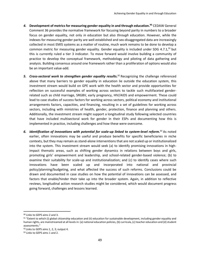- *4.* **Development of metrics for measuring gender equality in and through education. <sup>90</sup>** CEDAW General Comment 36 provides the normative framework for focusing beyond parity in numbers to a broader focus on gender equality, not only *in* education but also *through* education. However, while the indexes for measuring gender parity are well established and sex-disaggregated data are increasingly collected in most EMIS systems as a matter of routine, much work remains to be done to develop a common metric for measuring gender equality. Gender equality is included under SDG 4.7.1,<sup>91</sup> but this is currently ruled a tier 3 indicator. To move forward would involve building a community of practice to develop the conceptual framework, methodology and piloting of data gathering and analysis. Building consensus around one framework rather than a proliferation of options would also be an important value-add.
- 5. Cross-sectoral work to strengthen gender equality results.<sup>92</sup> Recognizing the challenge referenced above that many barriers to gender equality in education lie outside the education system, this investment stream would build on GPE work with the health sector and provide opportunities for reflection on successful examples of working across sectors to tackle such multifaceted genderrelated such as child marriage, SRGBV, early pregnancy, HIV/AIDS and empowerment. These could lead to case studies of success factors for working across sectors, political economy and institutional arrangements factors, capacities, and financing, resulting in a set of guidelines for working across sectors, including with ministries of health, gender, protection, finance and planning and others. Additionally, the investment stream might support a longitudinal study following selected countries that have included multisectoral work for gender in their ESPs and documenting how this is implemented in practice, including challenges and how these were overcome.
- *6. Identification of innovations with potential for scale-up linked to system-level reform. <sup>93</sup>* As noted earlier, often innovations may be useful and produce benefits for specific beneficiaries in niche contexts, but they may remain as stand-alone interventions that are not scaled up or institutionalized into the system. This investment stream would seek (a) to identify promising innovations in highimpact thematic areas, such as shifting gender dynamics in relations between boys and girls, promoting girls' empowerment and leadership, and school-related gender-based violence; (b) to examine their suitability for scale-up and institutionalization; and (c) to identify cases where such innovations have been scaled up and incorporated into national and provincial policy/planning/budgeting, and what affected the success of such reforms. Conclusions could be drawn and documented in case studies on how the potential of innovations can be assessed, and factors that enable/hinder their take up into the broader system. Again, in addition to reflective reviews, longitudinal action research studies might be considered, which would document progress going forward, challenges and lessons learned.

<sup>90</sup> Links to GEPS aims 2 and 3.

 $91$  "Extent to which (i) global citizenship education and (ii) education for sustainable development, including gender equality and human rights, are mainstreamed at all levels in: (a) national education policies, (b) curricula, (c) teacher education and (d) student assessments."

<sup>92</sup> Links to GEPS aims 1, 2, 3; output 4.

<sup>93</sup> Links to GEPS aims 1 and 2.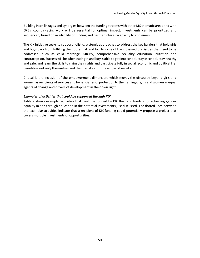Building inter-linkages and synergies between the funding streams with other KIX thematic areas and with GPE's country-facing work will be essential for optimal impact. Investments can be prioritized and sequenced, based on availability of funding and partner interest/capacity to implement.

The KIX initiative seeks to support holistic, systemic approaches to address the key barriers that hold girls and boys back from fulfilling their potential, and tackle some of the cross-sectoral issues that need to be addressed, such as child marriage, SRGBV, comprehensive sexuality education, nutrition and contraception. Success will be when each girl and boy is able to get into school, stay in school, stay healthy and safe, and learn the skills to claim their rights and participate fully in social, economic and political life, benefiting not only themselves and their families but the whole of society.

Critical is the inclusion of the empowerment dimension, which moves the discourse beyond girls and women as recipients of services and beneficiaries of protection to the framing of girls and women as equal agents of change and drivers of development in their own right.

#### *Examples of activities that could be supported through KIX*

Table 2 shows exemplar activities that could be funded by KIX thematic funding for achieving gender equality in and through education in the potential investments just discussed. The dotted lines between the exemplar activities indicate that a recipient of KIX funding could potentially propose a project that covers multiple investments or opportunities.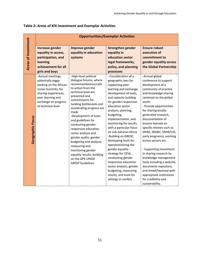|                     | <b>Opportunities/Exemplar Activities</b>                                                                                                                      |                                                                                                                                                                                                                                                                                                                                                                                                                                                                                              |                                                                                                                                                                                                                                                                                                                                                                                                                                                                                                                                                                              |                                                                                                                                                                                                                                                                                                                                                                                                                                                                                                                                                                                                 |  |  |  |  |
|---------------------|---------------------------------------------------------------------------------------------------------------------------------------------------------------|----------------------------------------------------------------------------------------------------------------------------------------------------------------------------------------------------------------------------------------------------------------------------------------------------------------------------------------------------------------------------------------------------------------------------------------------------------------------------------------------|------------------------------------------------------------------------------------------------------------------------------------------------------------------------------------------------------------------------------------------------------------------------------------------------------------------------------------------------------------------------------------------------------------------------------------------------------------------------------------------------------------------------------------------------------------------------------|-------------------------------------------------------------------------------------------------------------------------------------------------------------------------------------------------------------------------------------------------------------------------------------------------------------------------------------------------------------------------------------------------------------------------------------------------------------------------------------------------------------------------------------------------------------------------------------------------|--|--|--|--|
| Areas of Investment | Increase gender<br>equality in access,<br>participation, and<br>learning<br>achievement for all<br>girls and boys<br>-Annual meetings,                        | Improve gender<br>equality in education<br>systems<br>-High-level political                                                                                                                                                                                                                                                                                                                                                                                                                  | <b>Strengthen gender</b><br>equality in<br>education sector<br>legal frameworks,<br>policy, and planning<br>processes<br>- Consideration of a                                                                                                                                                                                                                                                                                                                                                                                                                                | <b>Ensure robust</b><br>execution of<br>commitment to<br>gender equality across<br>the Global Partnership<br>-Annual global                                                                                                                                                                                                                                                                                                                                                                                                                                                                     |  |  |  |  |
| Geographic Focus    | potentially piggy-<br>backing on the African<br>Union Summits, for<br>sharing experiences,<br>peer learning and<br>exchange on progress<br>at technical level | dialogue forums, where<br>recommendations/calls<br>to action from the<br>technical level are<br>presented and<br>commitments for<br>tackling bottlenecks and<br>accelerating progress are<br>made<br>-Development of tools<br>and guidelines for<br>conducting gender-<br>responsive education<br>sector analysis and<br>gender audits; gender<br>budgeting and analysis;<br>measuring and<br>monitoring gender<br>equality results, building<br>on the GPE-UNGEI<br><b>GRESP Guidelines</b> | geographic lens for<br>supporting peer<br>learning and exchange,<br>development of tools,<br>and capacity building<br>for gender-responsive<br>education sector<br>analysis, planning,<br>budgeting,<br>implementation, and<br>monitoring for results,<br>with a particular focus<br>on sub-Saharan Africa<br>-Building on GRESP,<br>developing tools for<br>operationalizing the<br>gender equality<br>strategy for CESA,<br>conducting gender<br>responsive education<br>sector analysis, gender<br>budgeting, measuring<br>results, and tools for<br>settings in conflict | conference to support<br>development of a<br>community of practice<br>and knowledge sharing<br>centered on the global<br>south.<br>- Provide opportunities<br>for sharing locally-<br>generated research,<br>documentation of<br>lessons learned on<br>specific themes such as<br>MHM, SRGBV, SRHR/CSE,<br>early pregnancy, working<br>across sectors etc.<br>- Supporting investment<br>in sharing research by<br>knowledge management<br>tools including a website,<br>documents repository,<br>and linked/twinned with<br>appropriate institutions<br>for credibility and<br>sustainability. |  |  |  |  |

## **Table 2: Areas of KIX Investment and Exemplar Activities**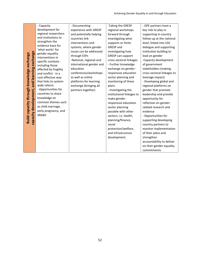|                                                                    | - Capacity            | - Documenting            | -Taking the GRESP         | - GPE partners have a      |
|--------------------------------------------------------------------|-----------------------|--------------------------|---------------------------|----------------------------|
|                                                                    | development for       |                          |                           |                            |
|                                                                    | regional researchers  | experience with GRESP    | regional workshops        | key role to play in        |
|                                                                    | and institutions to   | and potentially helping  | forward through           | supporting in-country      |
|                                                                    | strengthen the        | countries link           | investigating what        | follow-up at the national  |
|                                                                    | evidence base for     | interventions and        | supports or limits        | level, linked into LEG     |
|                                                                    | 'what works' for      | systems, where gender    | <b>GRESP</b> and          | dialogue and supporting    |
|                                                                    | gender equality       | issues can be addressed  | investigating how         | institution building to    |
|                                                                    | interventions in      | through ESPs             | <b>GRESP</b> can support  | lead on gender             |
|                                                                    | specific contexts -   | -National, regional and  | cross-sectoral linkages   | -Capacity development      |
|                                                                    | including those       | international gender and | - Further knowledge       | of government              |
|                                                                    | affected by fragility | education                | exchange on gender-       | stakeholders (making       |
| and learning exchange<br>Build capacity through knowledge exchange | and conflict - in a   | conferences/workshops    | responsive education      | cross-sectoral linkages to |
|                                                                    | cost-effective way    | as well as online        | sector planning and       | leverage impact)           |
|                                                                    | that links to system- | platforms for learning   | monitoring of these       | - Developing global and    |
|                                                                    | wide reform           | exchange (bringing all   | plans                     | regional platforms on      |
|                                                                    | - Opportunities for   | partners together)       | - Investigating the       | gender that promote        |
|                                                                    | countries to share    |                          | institutional linkages to | leadership and provide     |
| capacity development,                                              | knowledge on          |                          | make gender-              | opportunity for            |
|                                                                    | common themes such    |                          | responsive education      | reflection on gender-      |
|                                                                    | as child marriage,    |                          | sector planning           | related research and       |
|                                                                    | early pregnancy, and  |                          | possible with other       | evidence                   |
|                                                                    | SRGBV                 |                          | sectors; i.e. health,     | - Opportunities for        |
|                                                                    |                       |                          | planning/finance,         | supporting developing      |
|                                                                    |                       |                          | social                    | country partners to        |
|                                                                    |                       |                          | protection/welfare,       | monitor implementation     |
|                                                                    |                       |                          | and infrastructure        | of their plans and         |
|                                                                    |                       |                          |                           |                            |
|                                                                    |                       |                          | development.              | strengthen                 |
|                                                                    |                       |                          |                           | accountability to deliver  |
|                                                                    |                       |                          |                           | on their gender equality   |
|                                                                    |                       |                          |                           | commitments                |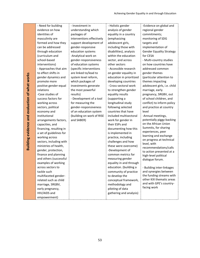|                                                | - Need for building     | - Investment in           | - Holistic gender        | -Evidence on global and                    |
|------------------------------------------------|-------------------------|---------------------------|--------------------------|--------------------------------------------|
|                                                | evidence on how         | understanding which       | analysis of gender       | regional gender                            |
|                                                | identities of           | packages of               | equality in a country    | commitments;                               |
|                                                | masculinity are         | interventions effectively | (emphasizing             | monitoring of SDG                          |
|                                                | formed and how they     | support development of    | adolescent girls,        | targets and                                |
|                                                | can be addressed        | gender-responsive         | including those with     | implementation of                          |
|                                                | through education       | education systems         | disabilities), analysis  | <b>Gender Equality Strategy</b>            |
|                                                | (curriculum and         | -Analytical work on       | within the education     | for CESA                                   |
|                                                | school-based            | gender-responsiveness     | sector, and across       | - Multi-country studies                    |
|                                                | interventions)          | of education systems      | other sectors            | on how countries have                      |
|                                                | - Approaches that aim   | (specific interventions   | - Accessible research    | addressed common                           |
|                                                | to effect shifts in     | are linked to/lead to     | on gender equality in    | gender themes                              |
|                                                | gender dynamics and     | system level reform,      | education in prioritized | (particular attention to                   |
|                                                | promote more            | which packages of         | developing countries     | themes impacting                           |
|                                                | positive gender-equal   | investments generate      | - Cross-sectoral work    | adolescent girls, i.e. child               |
|                                                | relations               | the most powerful         | to strengthen gender     | marriage, early                            |
|                                                | -Case studies of        | results)                  | equality results         | pregnancy, SRGBV, out                      |
|                                                | success factors for     | - Development of a tool   | (supporting a            | of school children, and                    |
|                                                | working across          | for measuring the         | longitudinal study       | conflict) to inform policy                 |
|                                                | sectors, political      | gender-responsiveness     | following selected       | and practice at country                    |
|                                                | economy and             | of an education system    | countries that have      | level                                      |
|                                                | institutional           | (building on work of RISE | included multisectoral   | -Annual meetings,                          |
| Building evidence and evaluation of what works | arrangements factors,   | and SABER)                | work for gender in       | potentially piggy-backing                  |
|                                                | capacities, and         |                           | their ESPs and           | on the African Union                       |
|                                                | financing, resulting in |                           | documenting how this     | Summits, for sharing                       |
|                                                | a set of guidelines for |                           | is implemented in        | experiences, peer<br>learning and exchange |
|                                                | working across          |                           | practice, including      | on progress at technical                   |
|                                                | sectors, including with |                           | challenges and how       | level, with                                |
|                                                | ministries of health,   |                           | these were overcome)     | recommendations/calls                      |
|                                                | gender, protection,     |                           | -Development of          | to action presented at a                   |
|                                                | finance and planning    |                           | common metrics for       | high-level political                       |
|                                                | and others (successful  |                           | measuring gender         | dialogue forum.                            |
|                                                | examples of working     |                           | equality in and through  |                                            |
|                                                | across sectors to       |                           | education. (building a   | - Building inter-linkages                  |
|                                                | tackle such             |                           | community of practice    | and synergies between                      |
|                                                | multifaceted gender-    |                           | to develop the           | the funding streams with                   |
|                                                | related such as child   |                           | conceptual framework,    | other KIX thematic areas                   |
|                                                | marriage, SRGBV,        |                           | methodology and          | and with GPE's country-                    |
|                                                | early pregnancy,        |                           | piloting of data         | facing work                                |
|                                                | HIV/AIDS and            |                           | gathering and analysis)  |                                            |
|                                                | empowerment)            |                           |                          |                                            |

**Building evidence and evaluation of what works**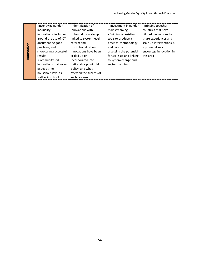|           | -Incentivize gender    | - Identification of     | - Investment in gender   | - Bringing together       |
|-----------|------------------------|-------------------------|--------------------------|---------------------------|
|           | inequality             | innovations with        | mainstreaming            | countries that have       |
|           | innovations, including | potential for scale up  | - Building on existing   | piloted innovations to    |
|           | around the use of ICT. | linked to system-level  | tools to produce a       | share experiences and     |
|           | documenting good       | reform and              | practical methodology    | scale up interventions is |
| nnovation | practices, and         | institutionalization;   | and criteria for         | a potential way to        |
|           | showcasing successful  | innovations have been   | assessing the potential  | encourage innovation in   |
|           | results                | scaled up or            | for scale-up and linking | this area                 |
|           | -Community-led         | incorporated into       | to system change and     |                           |
|           | innovations that solve | national or provincial  | sector planning          |                           |
|           | issues at the          | policy, and what        |                          |                           |
|           | household level as     | affected the success of |                          |                           |
|           | well as in school      | such reforms            |                          |                           |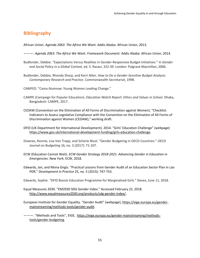## **Bibliography**

African Union. *Agenda 2063: The Africa We Want.* Addis Ababa: African Union, 2013.

- ———. *Agenda 2063: The Africa We Want. Framework Document.* Addis Ababa: African Union, 2014.
- Budlender, Debbie. "Expectations Versus Realities in Gender-Responsive Budget Initiatives." In *Gender and Social Policy in a Global Context,* ed. S. Razavi, 322-39. London: Palgrave Macmillan, 2006.
- Budlender, Debbie, Rhonda Sharp, and Kerri Allen. *How to Do a Gender-Sensitive Budget Analysis: Contemporary Research and Practice*. Commonwealth Secretariat, 1998.

CAMFED. "Cama Alumnae: Young Women Leading Change."

- CAMPE (Campaign for Popular Education). *Education Watch Report: Ethics and Values in School*. Dhaka, Bangladesh: CAMPE, 2017.
- CEDAW (Convention on the Elimination of All Forms of Discrimination against Women). "Checklist: Indicators to Assess Legislative Compliance with the Convention on the Elimination of All Forms of Discrimination against Women (CEDAW)," working draft.
- DFID (UK Department for International Development). 2014. "Girls' Education Challenge" (webpage) [https://www.gov.uk/international-development-funding/girls-education-challenge.](https://www.gov.uk/international-development-funding/girls-education-challenge)
- Downes, Ronnie, Lisa Von Trapp, and Scherie Nicol. "Gender Budgeting in OECD Countries." *OECD Journal on Budgeting* 16, no. 3 (2017): 71-107.
- ECW (Education Cannot Wait). *ECW Gender Strategy 2018-2021: Advancing Gender in Education in Emergencies*. New York: ECW, 2018.
- Edwards, Jan, and Mona Girgis. "Practical Lessons from Gender Audit of an Education Sector Plan in Lao PDR." *Development in Practice* 25, no. 5 (2015): 747-753.

Edwards, Sophie. "DFID Boosts Education Programme for Marginalised Girls." Devex, June 11, 2018.

- Equal Measures 2030. "EM2030 SDG Gender Index." Accessed February 22, 2018. [http://www.equalmeasures2030.org/products/sdg-gender-index/.](http://www.equalmeasures2030.org/products/sdg-gender-index/)
- European Institute for Gender Equality. "Gender Audit" (webpage)[, https://eige.europa.eu/gender](https://eige.europa.eu/gender-mainstreaming/methods-tools/gender-audit)[mainstreaming/methods-tools/gender-audit.](https://eige.europa.eu/gender-mainstreaming/methods-tools/gender-audit)
- ———. "Methods and Tools", EIGE, [https://eige.europa.eu/gender-mainstreaming/methods](https://eige.europa.eu/gender-mainstreaming/methods-tools/gender-budgeting)[tools/gender-budgeting.](https://eige.europa.eu/gender-mainstreaming/methods-tools/gender-budgeting)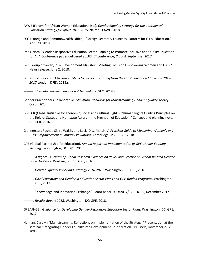- FAWE (Forum for African Women Educationalists). *Gender Equality Strategy for the Continental Education Strategy for Africa 2016-2025.* Nairobi: FAWE, 2018.
- FCO (Foreign and Commonwealth Office). "Foreign Secretary Launches Platform for Girls' Education." April 20, 2018.
- Fyles, Nora. "Gender-Responsive Education Sector Planning to Promote Inclusive and Quality Education for All." Conference paper delivered at UKFIET conference, Oxford, September 2017.
- G-7 (Group of Seven). "G7 Development Ministers' Meeting Focus on Empowering Women and Girls." News release. June 2, 2018.
- GEC (Girls' Education Challenge). *Steps to Success: Learning from the Girls' Education Challenge 2012- 2017* London, DFID, 2018a.
- ———. *Thematic Review: Educational Technology.* GEC, 2018b.
- Gender Practitioners Collaborative. *Minimum Standards for Mainstreaming Gender Equality*. Mercy Corps, 2014.
- GI-ESCR (Global Initiative for Economic, Social and Cultural Rights). "Human Rights Guiding Principles on the Role of States and Non-state Actors in the Provision of Education." Concept and planning note, GI-ESCR, 2016.
- Glennerster, Rachel, Claire Walsh, and Lucia Diaz-Martin*. A Practical Guide to Measuring Women's and Girls' Empowerment in Impact Evaluations.* Cambridge, MA: J-PAL, 2018.
- GPE (Global Partnership for Education). *Annual Report on Implementation of GPE Gender Equality Strategy*. Washington, DC: GPE, 2018.
- ———. *A Rigorous Review of Global Research Evidence on Policy and Practice on School-Related Gender-Based Violence.* Washington, DC: GPE, 2016.
- ———. *Gender Equality Policy and Strategy 2016-2020.* Washington, DC: GPE, 2016*.*
- ———. *Girls' Education and Gender in Education Sector Plans and GPE-funded Programs*. Washington, DC: GPE, 2017.
- ———. "Knowledge and Innovation Exchange." Board paper BOD/2017/12 DOC 09, December 2017.
- ———. *Results Report 2018.* Washington, DC: GPE, 2018.
- GPE/UNGEI. *Guidance for Developing Gender-Responsive Education Sector Plans.* Washington, DC: GPE, 2017.
- Hannan, Carolyn "Mainstreaming: Reflections on Implementation of the Strategy." Presentation at the seminar "Integrating Gender Equality into Development Co-operation," Brussels, November 27-28, 2003.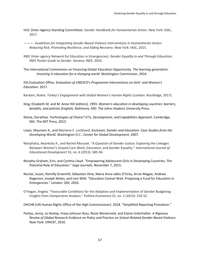- IASC (Inter-Agency Standing Committee). *Gender Handbook for Humanitarian Action.* New York: ISAC, 2017.
- ———. *Guidelines for Integrating Gender-Based Violence Interventions in Humanitarian Action: Reducing Risk, Promoting Resilience, and Aiding Recovery.* New York: IASC, 2015.
- INEE (Inter-agency Network for Education in Emergencies). *Gender Equality In and Through Education: INEE Pocket Guide to Gender.* Geneva: INEE, 2010.
- The International Commission on Financing Global Education Opportunity. *The learning generation: Investing in education for a changing world.* Washington Commission, 2016.

IOS Evaluation Office. *Evaluation of UNESCO's Programme Interventions on Girls' and Women's Education*. 2017.

- Kardam, Nuket. *Turkey's Engagement with Global Women's Human Rights* (London: Routledge, 2017).
- King, Elizabeth M. and M. Anne Hill [editors]. 1993. *Women's education in developing countries: barriers, benefits, and policies (English)*. Baltimore, MD: The Johns Hopkins University Press.
- Kleine, Dorathea. *Technologies of Choice? ICTs, Development, and Capabilities Approach*. Cambridge, MA: The MIT Press, 2013.
- Lewis, Maureen A., and Marlaine E. Lockheed. *Exclusion, Gender and Education: Case Studies from the Developing World.* Washington D.C.: Center for Global Development, 2007.
- Marphatia, Akanksha A., and Rachel Moussié. "A Question of Gender Justice: Exploring the Linkages Between Women's Unpaid Care Work, Education, and Gender Equality." *International Journal of Educational Development* 33, no. 6 (2013): 585-94.
- Murphy-Graham, Erin, and Cynthia Lloyd. "Empowering Adolescent Girls in Developing Countries: The Potential Role of Education." *Sage Journals,* November 7, 2015.
- Nicolai, Susan, Romilly Greenhill, Sébastien Hine, Maria Anna Jalles D'Orey, Arran Magee, Andrew Rogerson, Joseph Wales, and Leni Wild. "Education Cannot Wait: Proposing a Fund for Education in Emergencies." London: ODI, 2016.
- O'Hagan, Angela. "Favourable Conditions for the Adoption and Implementation of Gender Budgeting: Insights from Comparative Analysis." *Politica Economica* 31, no. 2 (2015): 233-52.

OHCHR (UN Human Rights Office of the High Commissioner). 2018. "Simplified Reporting Procedure."

Parkes, Jenny, Jo Heslop, Freya Johnson Ross, Rosie Westerveld, and Elaine Unterhalter. *A Rigorous Review of Global Research Evidence on Policy and Practice on School-Related Gender-Based Violence*. New York: UNICEF, 2016.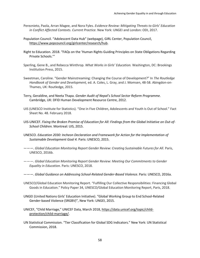- Pereznieto, Paola, Arran Magee, and Nora Fyles. *Evidence Review: Mitigating Threats to Girls' Education in Conflict Affected Contexts. Current Practice.* New York: UNGEI and London: ODI, 2017.
- Population Council. "Adolescent Data Hub" (webpage), GIRL Center, Population Council, [https://www.popcouncil.org/girlcenter/research/hub.](https://www.popcouncil.org/girlcenter/research/hub)
- Right to Education. 2018. "FAQs on the 'Human Rights Guiding Principles on State Obligations Regarding Private Schools.'"
- Sperling, Gene B., and Rebecca Winthrop. *What Works in Girls' Education.* Washington, DC: Brookings Institution Press, 2015.
- Sweetman, Caroline. "Gender Mainstreaming: Changing the Course of Development?" In *The Routledge Handbook of Gender and Development,* ed. A. Coles, L. Gray, and J. Momsen, 48-58. Abingdon-on-Thames, UK: Routledge, 2015.
- Terry, Geraldine, and Neeta Thapa. *Gender Audit of Nepal's School Sector Reform Programme.* Cambridge, UK: DFID Human Development Resource Centre, 2012.
- UIS (UNESCO Institute for Statistics). "One in Five Children, Adolescents and Youth Is Out of School." Fact Sheet No. 48. February 2018.
- UIS-UNICEF. *Fixing the Broken Promise of Education for All: Findings from the Global Initiative on Out-of-School Children.* Montreal: UIS, 2015.
- UNESCO. *Education 2030: Incheon Declaration and Framework for Action for the Implementation of Sustainable Development Goal 4.* Paris: UNESCO, 2015.
- ———. *Global Education Monitoring Report Gender Review: Creating Sustainable Futures for All.* Paris, UNESCO, 2016b.
- ———. *Global Education Monitoring Report Gender Review: Meeting Our Commitments to Gender Equality in Education.* Paris: UNESCO, 2018.
- ———. *Global Guidance on Addressing School-Related Gender-Based Violence*. Paris: UNESCO, 2016a.
- UNESCO/Global Education Monitoring Report. "Fulfilling Our Collective Responsibilities: Financing Global Goods in Education." Policy Paper 34, UNESCO/Global Education Monitoring Report, Paris, 2018.
- UNGEI (United Nations Girls' Education Initiative). "Global Working Group to End School-Related Gender-based Violence (SRGBV)", New York: UNGEI, 2015.
- UNICEF, "Child Marriage," UNICEF Data, March 2018, [https://data.unicef.org/topic/child](https://data.unicef.org/topic/child-protection/child-marriage/)[protection/child-marriage/.](https://data.unicef.org/topic/child-protection/child-marriage/)
- UN Statistical Commission. "Tier Classification for Global SDG Indicators." New York: UN Statistical Commission, 2018.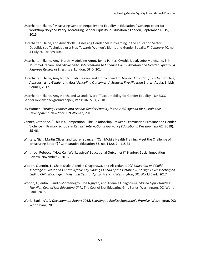- Unterhalter, Elaine. "Measuring Gender Inequality and Equality in Education." Concept paper for workshop "Beyond Parity: Measuring Gender Equality in Education," London, September 18-19, 2015.
- Unterhalter, Elaine, and Amy North. "Assessing Gender Mainstreaming in the Education Sector: Depoliticised Technique or a Step Towards Women's Rights and Gender Equality?" *Compare* 40, no. 4 (July 2010): 389-404.
- Unterhalter, Elaine, Amy, North, Madeleine Arnot, Jenny Parkes, Cynthia Lloyd, Lebo Moletsane, Erin Murphy-Graham, and Mioko Saito. *Interventions to Enhance Girls' Education and Gender Equality: A Rigorous Review of Literature*. London: DFID, 2014.
- Unterhalter, Elaine, Amy North, Chidi Ezegwu, and Emma Shercliff. *Teacher Education, Teacher Practice, Approaches to Gender and Girls' Schooling Outcomes: A Study in Five Nigerian States.* Abuja: British Council, 2017.

Unterhalter, Elaine, Amy North, and Orlanda Ward. "Accountability for Gender Equality." UNESCO Gender Review background paper, Paris: UNESCO, 2018.

- UN Women. *Turning Promises into Action: Gender Equality in the 2030 Agenda for Sustainable Development.* New York: UN Women, 2018.
- Vanner, Catherine. "'This Is a Competition': The Relationship Between Examination Pressure and Gender Violence in Primary Schools in Kenya." *International Journal of Educational Development* 62 (2018): 35-46.
- Winters, Niall, Martin Oliver, and Laurenz Langer. "Can Mobile Health Training Meet the Challenge of 'Measuring Better'?" Comparative Education 53, no. 1 (2017): 115-31.
- Winthrop, Rebecca. "How Can We 'Leapfrog' Educational Outcomes?" Stanford Social Innovation Review, November 7, 2016.
- Wodon, Quentin. T., Chata Male, Adenike Onagoruwa, and Ali Yedan. *Girls' Education and Child Marriage in West and Central Africa: Key Findings Ahead of the October 2017 High Level Meeting on Ending Child Marriage in West and Central Africa* (French). Washington, DC: World Bank, 2017.
- Wodon, Quentin, Claudio Montenegro, Hoa Nguyen, and Adenike Onagoruwa. *Missed Opportunities: The High Cost of Not Educating Girls*. The Cost of Not Educating Girls Series. Washington, DC: World Bank, 2018.
- World Bank. *World Development Report 2018: Learning to Realize Education's Promise.* Washington, DC: World Bank, 2018.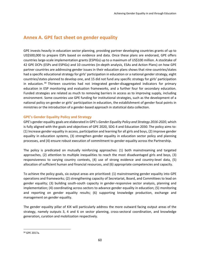# <span id="page-59-0"></span>**Annex A. GPE fact sheet on gender equality**

GPE invests heavily in education sector planning, providing partner developing countries grants of up to US\$500,000 to prepare ESPs based on evidence and data. Once these plans are endorsed, GPE offers countries large-scale implementation grants (ESPIGs) up to a maximum of US\$100 million. A stocktake of 42 GPE DCPs (ESPs and ESPIGs) and 10 countries (in-depth analysis, ESAs and Action Plans) on how GPE partner countries are addressing gender issues in their education plans shows that nine countries/states had a specific educational strategy for girls' participation in education or a national gender strategy, eight countries/states planned to develop one, and 15 did not fund any specific strategy for girls' participation in education.  $94$  Thirteen countries had not integrated gender-disaggregated indicators for primary education in ESP monitoring and evaluation frameworks, and a further four for secondary education. Funded strategies are related as much to removing barriers in access as to improving supply, including environment. Some countries use GPE funding for institutional strategies, such as the development of a national policy on gender or girls' participation in education, the establishment of gender focal points in ministries or the introduction of a gender-based approach in statistical data collection.

## <span id="page-59-1"></span>**GPE's Gender Equality Policy and Strategy**

GPE's gender equality goals are elaborated in GPE's *Gender Equality Policy and Strategy 2016-2020*, which is fully aligned with the goals and objectives of GPE 2020, SDG 4 and Education 2030. The policy aims to: (1) Increase gender equality in access, participation and learning for all girls and boys, (2) improve gender equality in education systems, (3) strengthen gender equality in education sector policy and planning processes, and (4) ensure robust execution of commitment to gender equality across the Partnership.

The policy is predicated on mutually reinforcing approaches: (1) both mainstreaming and targeted approaches, (2) attention to multiple inequalities to reach the most disadvantaged girls and boys, (3) responsiveness to varying country contexts, (4) use of strong evidence and country-level data, (5) allocation of sufficient human and financial resources, and (6) appropriate competencies and capacity.

To achieve the policy goals, six output areas are prioritized: (1) mainstreaming gender equality into GPE operations and frameworks; (2) strengthening capacity of Secretariat, Board, and Committees to lead on gender equality; (3) building south-south capacity in gender-responsive sector analysis, planning and implementation; (4) coordinating across sectors to advance gender equality in education; (5) monitoring and reporting on gender equality results; (6) supporting knowledge production, exchange and management on gender equality.

The gender equality pillar of KIX will particularly address the more outward facing output areas of the strategy, namely outputs 3, 4 and 6 on sector planning, cross-sectoral coordination, and knowledge generation, curation and mobilization respectively.

 $\overline{a}$ 

<sup>94</sup> GPE 2017a*.*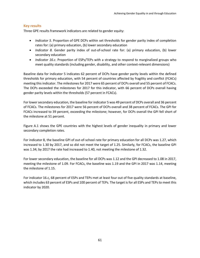## <span id="page-60-0"></span>**Key results**

Three GPE results framework indicators are related to gender equity:

- *Indicator 5.* Proportion of GPE DCPs within set thresholds for gender parity index of completion rates for: (a) primary education, (b) lower secondary education
- *Indicator 8.* Gender parity index of out-of-school rate for: (a) primary education, (b) lower secondary education
- *Indicator 16.c*. Proportion of ESPs/TEPs with a strategy to respond to marginalized groups who meet quality standards (including gender, disability, and other context-relevant dimensions)

Baseline data for indicator 5 indicates 62 percent of DCPs have gender parity levels within the defined thresholds for primary education, with 54 percent of countries affected by fragility and conflict (FCACs) meeting this indicator. The milestones for 2017 were 65 percent of DCPs overall and 55 percent of FCACs. The DCPs exceeded the milestones for 2017 for this indicator, with 66 percent of DCPs overall having gender parity levels within the thresholds (57 percent in FCACs).

For lower secondary education, the baseline for indicator 5 was 49 percent of DCPs overall and 36 percent of FCACs. The milestones for 2017 were 56 percent of DCPs overall and 38 percent of FCACs. The GPI for FCACs increased to 39 percent, exceeding the milestone; however, for DCPs overall the GPI fell short of the milestone at 51 percent.

Figure A.1 shows the GPE countries with the highest levels of gender inequality in primary and lower secondary completion rates.

For indicator 8, the baseline GPI of out-of-school rate for primary education for all DCPs was 1.27, which increased to 1.30 by 2017, and so did not meet the target of 1.25. Similarly, for FCACs, the baseline GPI was 1.34; by 2017 the rate had increased to 1.40, not meeting the milestone of 1.32.

For lower secondary education, the baseline for all DCPs was 1.12 and the GPI decreased to 1.08 in 2017, meeting the milestone of 1.09. For FCACs, the baseline was 1.19 and the GPI in 2017 was 1.14, meeting the milestone of 1.15.

For indicator 16.c, 68 percent of ESPs and TEPs met at least four out of five quality standards at baseline, which includes 63 percent of ESPs and 100 percent of TEPs. The target is for all ESPs and TEPs to meet this indicator by 2020.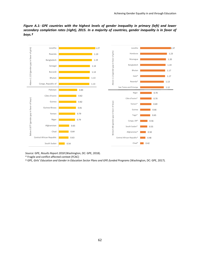*Figure A.1: GPE countries with the highest levels of gender inequality in primary (left) and lower secondary completion rates (right), 2015. In a majority of countries, gender inequality is in favor of boys.†*



*Source:* GPE, *Results Report 2018* (Washington, DC: GPE, 2018).

\* Fragile and conflict-affected context (FCAC)

† GPE, *Girls' Education and Gender in Education Sector Plans and GPE-funded Programs* (Washington, DC: GPE, 2017).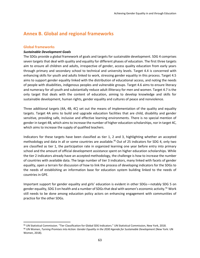# <span id="page-62-0"></span>**Annex B. Global and regional frameworks**

#### <span id="page-62-1"></span>**Global frameworks**

 $\overline{\phantom{a}}$ 

#### *Sustainable Development Goals*

The SDGs provide a global framework of goals and targets for sustainable development. SDG 4 comprises seven targets that deal with quality and equality for different phases of education. The first three targets aim to ensure all children and adults, irrespective of gender, access quality education from early years through primary and secondary school to technical and university levels. Target 4.4 is concerned with enhancing skills for youth and adults linked to work, stressing gender equality in this process. Target 4.5 aims to support gender equality linked with the distribution of educational access, and noting the needs of people with disabilities, indigenous peoples and vulnerable groups. Target 4.6 aims to ensure literacy and numeracy for all youth and substantially reduce adult illiteracy for men and women. Target 4.7 is the only target that deals with the content of education, aiming to develop knowledge and skills for sustainable development, human rights, gender equality and cultures of peace and nonviolence.

Three additional targets (4A, 4B, 4C) set out the means of implementation of the quality and equality targets. Target 4A aims to build and upgrade education facilities that are child, disability and gender sensitive, providing safe, inclusive and effective learning environments. There is no special mention of gender in target 4B, which aims to increase the number of higher education scholarships, nor in target 4C, which aims to increase the supply of qualified teachers.

Indicators for these targets have been classified as tier 1, 2 and 3, highlighting whether an accepted methodology and data in all or some countries are available.<sup>95</sup> Out of 25 indicators for SDG 4, only two are classified as tier 1, the participation rate in organized learning one year before entry into primary school and the amount of official development assistance spent on higher education scholarships. While the tier 2 indicators already have an accepted methodology, the challenge is how to increase the number of countries with available data. The large number of tier 3 indicators, many linked with facets of gender equality, open a terrain for discussion of how to link the process of developing indicators for the SDGs to the needs of establishing an information base for education system building linked to the needs of countries in GPE.

Important support for gender equality and girls' education is evident in other SDGs—notably SDG 5 on gender equality, SDG 3 on health and a number of SDGs that deal with women's economic activity.<sup>96</sup> Work still needs to be done among education policy actors on enhancing engagement with communities of practice for the other SDGs.

<sup>95</sup> UN Statistical Commission. "Tier Classification for Global SDG Indicators." UN Statistical Commission, New York, 2018. <sup>96</sup> UN Women, *Turning Promises into Action: Gender Equality in the 2030 Agenda for Sustainable Development* (New York: UN Women, 2018).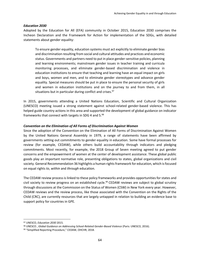#### *Education 2030*

Adopted by the Education for All (EFA) community in October 2015, Education 2030 comprises the Incheon Declaration and the Framework for Action for implementation of the SDGs, with detailed statements about gender equality:

To ensure gender equality, education systems must act explicitly to eliminate gender bias and discrimination resulting from social and cultural attitudes and practices and economic status. Governments and partners need to put in place gender-sensitive policies, planning and learning environments; mainstream gender issues in teacher training and curricula monitoring processes, and eliminate gender-based discrimination and violence in education institutions to ensure that teaching and learning have an equal impact on girls and boys, women and men, and to eliminate gender stereotypes and advance gender equality. Special measures should be put in place to ensure the personal security of girls and women in education institutions and on the journey to and from them, in all situations but in particular during conflict and crises. $97$ 

In 2015, governments attending a United Nations Education, Scientific and Cultural Organization (UNESCO) meeting issued a strong statement against school-related gender-based violence. This has helped guide country actions in this area and supported the development of global guidance on indicator frameworks that connect with targets in SDG 4 and 5.<sup>98</sup>

#### *Convention on the Elimination of All Forms of Discrimination Against Women*

Since the adoption of the Convention on the Elimination of All Forms of Discrimination Against Women by the United Nations General Assembly in 1979, a range of statements have been affirmed by governments setting out commitments to gender equality in education. Some have formal processes for review (for example, CEDAW), while others build accountability through indicators and pledging commitments. Most recently, for example, the 2018 Group of Seven meeting agreed to put gender concerns and the empowerment of women at the center of development assistance. These global public goods play an important normative role, presenting obligations to states, global organizations and civil society. General Recommendation 36 highlights a human rights framework for education, which is focused on equal rights *to*, *within* and *through* education.

The CEDAW review process is linked to these policy frameworks and provides opportunities for states and civil society to review progress on an established cycle.<sup>99</sup> CEDAW reviews are subject to global scrutiny through discussions at the Commission on the Status of Women (CSW) in New York every year. However, CEDAW reviews and the review process, like those associated with the Convention on the Rights of the Child (CRC), are currently resources that are largely untapped in relation to building an evidence base to support policy for countries in GPE.

<sup>97</sup> UNESCO, *Education 2030* 2015*.*

<sup>98</sup> UNESCO , *Global Guidance on Addressing School-Related Gender-Based Violence* (Paris: UNESCO, 2016).

<sup>99 &</sup>quot;Simplified Reporting Procedure," CEDAW, OHCHR, 2018.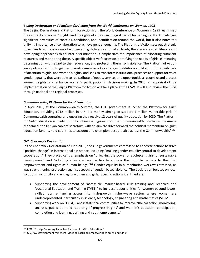#### *Beijing Declaration and Platform for Action from the World Conference on Women, 1995*

The Beijing Declaration and Platform for Action from the World Conference on Women in 1995 reaffirmed the centrality of women's rights and the rights of girls as an integral part of human rights. It acknowledges significant diversities of contexts, conditions, and identification around the world, but it also notes the unifying importance of collaboration to achieve gender equality. The Platform of Action sets out strategic objectives to address access of women and girls to education at all levels, the eradication of illiteracy and developing approaches to counter discrimination. It emphasizes the importance of allocating sufficient resources and monitoring these. A specific objective focuses on identifying the needs of girls, eliminating discrimination with regard to their education, and protecting them from violence. The Platform of Action gave policy attention to gender mainstreaming as a key strategy institutions could adopt to remedy lack of attention to girls' and women's rights, and seek to transform institutional practices to support forms of gender equality that were able to redistribute of goods, services and opportunities; recognize and protect women's rights; and enhance women's participation in decision making. In 2020, an appraisal of the implementation of the Beijing Platform for Action will take place at the CSW. It will also review the SDGs through national and regional processes.

#### *Commonwealth, Platform for Girls' Education*

In April 2018, at the Commonwealth Summit, the U.K. government launched the Platform for Girls' Education, providing £212 million in U.K. aid money aiming to support 1 million vulnerable girls in Commonwealth countries, and ensuring they receive 12 years of quality education by 2030. The Platform for Girls' Education is made up of 12 influential figures from the Commonwealth, co-chaired by Amina Mohamed, the Kenyan cabinet secretary, with an aim "to drive forward the political momentum on girls' education [and] ... hold countries to account and champion best practice across the Commonwealth."<sup>100</sup>

#### *G-7, Charlevoix Declaration*

In the Charlevoix Declaration of June 2018, the G-7 governments committed to concrete actions to drive "positive change" in international assistance, including "making gender equality central to development cooperation." They placed central emphasis on "unlocking the power of adolescent girls for sustainable development" and "adopting integrated approaches to address the multiple barriers to their full empowerment and rights as human beings."<sup>101</sup> Gender equality in humanitarian work was stressed, as was strengthening protection against aspects of gender-based violence. The declaration focuses on local solutions, inclusivity and engaging women and girls. Specific actions identified are:

- Supporting the development of "accessible, market-based skills training and Technical and Vocational Education and Training (TVET)" to increase opportunities for women beyond lowerskilled jobs, enhancing access into high-growth, higher-wage sectors where women are underrepresented, particularly in science, technology, engineering and mathematics (STEM).
- Supporting work on SDG 4, 5 and 8 statistical communities to improve "the collection, monitoring, analysis, publication and reporting of progress in girls' and women's education participation, completion and learning, training and youth employment."

 $\overline{a}$ 100 FCO, "Foreign Secretary Launches Platform for Girls' Education."

<sup>&</sup>lt;sup>101</sup> G-7, "G7 Development Ministers' Meeting Focus on Empowering Women and Girls."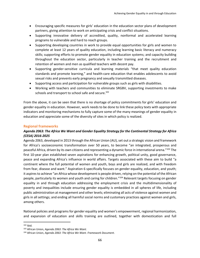- Encouraging specific measures for girls' education in the education sector plans of development partners, giving attention to work on anticipating crisis and conflict situations.
- Supporting innovative delivery of accredited, quality, nonformal and accelerated learning programs to vulnerable and hard to reach groups.
- Supporting developing countries in work to provide equal opportunities for girls and women to complete at least 12 years of quality education, including learning basic literacy and numeracy skills; supporting efforts to promote gender equality in education systems; and capacity building throughout the education sector, particularly in teacher training and the recruitment and retention of women and men as qualified teachers with decent pay.
- Supporting gender-sensitive curricula and learning materials "that meet quality education standards and promote learning," and health-care education that enables adolescents to avoid sexual risks and prevents early pregnancy and sexually transmitted diseases.
- Supporting access and participation for vulnerable groups such as girls with disabilities.
- Working with teachers and communities to eliminate SRGBV, supporting investments to make schools and transport to school safe and secure.<sup>102</sup>

From the above, it can be seen that there is no shortage of policy commitments for girls' education and gender equality in education. However, work needs to be done to link these policy texts with appropriate indicators and monitoring mechanisms to fully capture some of the many meanings of gender equality in education and appreciate some of the diversity of sites in which policy is realized.

## <span id="page-65-0"></span>**Regional frameworks**

## *Agenda 2063: The Africa We Want and Gender Equality Strategy for the Continental Strategy for Africa (CESA) 2016-2025*

Agenda 2063, developed in 2013 through the African Union (AU), set out a strategic vision and framework for Africa's socioeconomic transformation over 50 years, to become "an integrated, prosperous and peaceful Africa, driven by its own citizens and representing a dynamic force in international arena."<sup>103</sup> The first 10-year plan established seven aspirations for enhancing growth, political unity, good governance, peace and expanding Africa's influence in world affairs. Targets associated with these aim to build "a continent where the full potential of women and youth, boys and girls are realized, and with freedom from fear, disease and want." Aspiration 6 specifically focuses on gender equality, education, and youth; it aspires to achieve "an Africa whose development is people driven, relying on the potential of the African people, particularly its women and youth and caring for children." <sup>104</sup> Relevant targets focusing on gender equality in and through education addressing the employment crisis and the multidimensionality of poverty and inequalities include ensuring gender equality is embedded in all spheres of life, including public administration at management and other levels; eliminating all acts of violence against women and girls in all settings; and ending all harmful social norms and customary practices against women and girls, among others.

National policies and programs for gender equality and women's empowerment, regional harmonization, and expansion of education and skills training are outlined, together with domestication and full

 $\overline{\phantom{a}}$ <sup>102</sup> Ibid.

<sup>103</sup> African Union, *Agenda 2063: The Africa We Want.*

<sup>104</sup> African Union, *Agenda 2063: The Africa We Want. Framework Document*.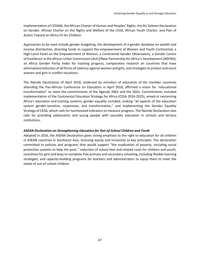implementation of CEDAW, the African Charter of Human and Peoples' Rights, the AU Solemn Declaration on Gender, African Charter on the Rights and Welfare of the Child, African Youth Charter, and Plan of Action Toward an Africa Fit for Children.

Approaches to be used include gender budgeting, the development of a gender database on wealth and income distribution, directing funds to support the empowerment of Women and Youth Continental, a High-Level Panel on the Empowerment of Women, a Continental Gender Observatory, a Gender Centre of Excellence in the African Union Commission (AUC)/New Partnership for Africa's Development (NEPAD), an Africa Gender Parity Index for tracking progress, comparative research on countries that have elimination/reduction of all forms of violence against women and girls, and strategies to protect and assist women and girls in conflict situations.

The Nairobi Declaration of April 2018, endorsed by ministers of education of AU member countries attending the Pan-African Conference on Education in April 2018, affirmed a vision for "educational transformation" to meet the commitments of the Agenda 2063 and the SDGs. Commitments included implementation of the Continental Education Strategy for Africa (CESA 2016-2025), aimed at reorienting Africa's education and training systems, gender equality included, making "all aspects of the education system gender-sensitive, responsive, and transformative," and implementing the Gender Equality Strategy of CESA, which calls for harmonized indicators to measure progress. The Nairobi Declaration also calls for providing adolescents and young people with sexuality education in schools and tertiary institutions.

#### *ASEAN Declaration on Strengthening Education for Out-of-School Children and Youth*

Adopted in 2016, the ASEAN Declaration gives strong emphasis to the right to education for all children in ASEAN countries in Southeast Asia, stressing equity and inclusivity as key principles. The declaration committed to policies and programs that would support "the eradication of poverty, including social protection systems to help the poor," reduction of school fees and related costs for children and youth, incentives for girls and boys to complete free primary and secondary schooling, including flexible learning strategies, and capacity-building programs for teachers and administrators to equip them to meet the needs of out-of-school children.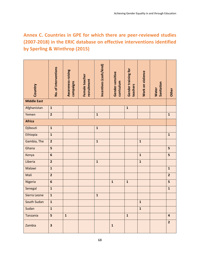# <span id="page-67-0"></span>**Annex C. Countries in GPE for which there are peer-reviewed studies (2007-2018) in the ERIC database on effective interventions identified by Sperling & Winthrop (2015)**

| Country            | No. of interventions    | Awareness-raising<br>campaigns | Female teacher<br>recruitment | Incentives (cash/kind) | Gender-sensitive<br>curriculum | Gender training for<br>teachers | Work on violence | Sanitation<br><b>Water</b> | Other                   |
|--------------------|-------------------------|--------------------------------|-------------------------------|------------------------|--------------------------------|---------------------------------|------------------|----------------------------|-------------------------|
| <b>Middle East</b> |                         |                                |                               |                        |                                |                                 |                  |                            |                         |
| Afghanistan        | $\mathbf 1$             |                                |                               |                        |                                | $\mathbf{1}$                    |                  |                            |                         |
| Yemen              | $\overline{2}$          |                                |                               | $\mathbf 1$            |                                |                                 |                  |                            | $\mathbf{1}$            |
| <b>Africa</b>      |                         |                                |                               |                        |                                |                                 |                  |                            |                         |
| Djibouti           | $\mathbf{1}$            |                                |                               | $\mathbf{1}$           |                                |                                 |                  |                            |                         |
| Ethiopia           | $\mathbf{1}$            |                                |                               |                        |                                |                                 |                  |                            | $\mathbf 1$             |
| Gambia, The        | $\overline{2}$          |                                |                               | $\mathbf{1}$           |                                |                                 | $\mathbf{1}$     |                            |                         |
| Ghana              | 5                       |                                |                               |                        |                                |                                 |                  |                            | 5                       |
| Kenya              | $6\phantom{a}$          |                                |                               |                        |                                |                                 | $\mathbf{1}$     |                            | 5                       |
| Liberia            | $\overline{2}$          |                                |                               | $\mathbf 1$            |                                |                                 | $\mathbf{1}$     |                            |                         |
| Malawi             | $\mathbf{1}$            |                                |                               |                        |                                |                                 |                  |                            | $\mathbf{1}$            |
| Mali               | $\overline{2}$          |                                |                               |                        |                                |                                 |                  |                            | $\overline{2}$          |
| Nigeria            | $6\phantom{a}$          |                                |                               |                        | $\mathbf{1}$                   | $\mathbf{1}$                    |                  |                            | 5                       |
| Senegal            | $\mathbf{1}$            |                                |                               |                        |                                |                                 |                  |                            | $\mathbf{1}$            |
| Sierra Leone       | $\mathbf{1}$            |                                |                               | $\mathbf 1$            |                                |                                 |                  |                            |                         |
| South Sudan        | $\mathbf{1}$            |                                |                               |                        |                                |                                 | $\mathbf{1}$     |                            |                         |
| Sudan              | $\mathbf{1}$            |                                |                               |                        |                                |                                 | $\mathbf{1}$     |                            |                         |
| Tanzania           | 5                       | $\mathbf{1}$                   |                               |                        |                                | $\mathbf{1}$                    |                  |                            | $\overline{\mathbf{4}}$ |
| Zambia             | $\overline{\mathbf{3}}$ |                                |                               |                        | $\mathbf 1$                    |                                 |                  |                            | $\overline{2}$          |